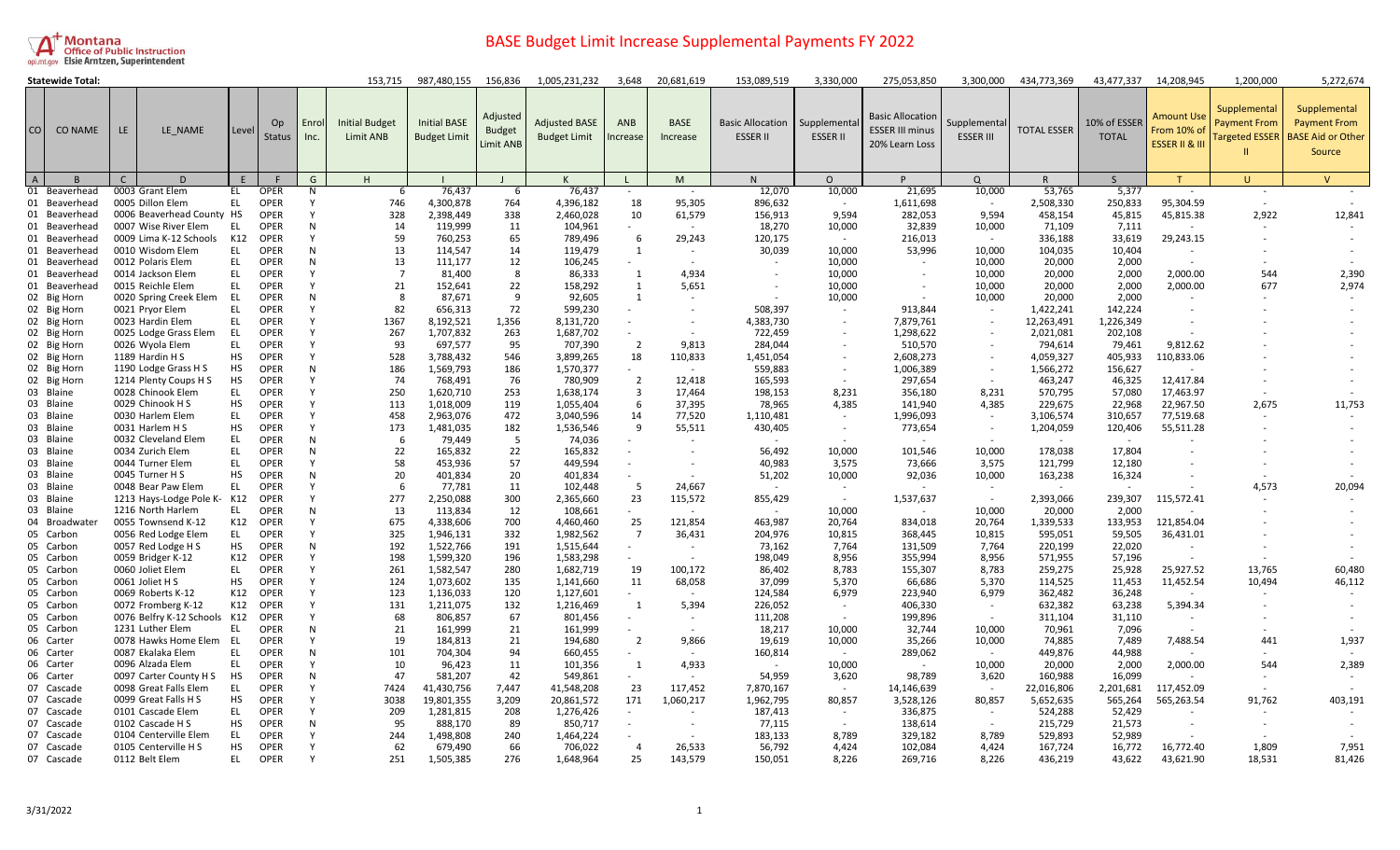

|                | <b>Statewide Total:</b> |                              |           |                     |               | 153,715                            | 987,480,155                                | 156,836                                       | 1,005,231,232                               | 3,648          | 20,681,619              | 153,089,519                                | 3,330,000                      | 275,053,850                                                         | 3,300,000                        | 434,773,369              | 43,477,337                   | 14,208,945                                                   | 1,200,000                           | 5,272,674                                                                          |
|----------------|-------------------------|------------------------------|-----------|---------------------|---------------|------------------------------------|--------------------------------------------|-----------------------------------------------|---------------------------------------------|----------------|-------------------------|--------------------------------------------|--------------------------------|---------------------------------------------------------------------|----------------------------------|--------------------------|------------------------------|--------------------------------------------------------------|-------------------------------------|------------------------------------------------------------------------------------|
| <b>CO</b>      | <b>CO NAME</b>          | LE.<br>LE NAME               | Level     | Op<br><b>Status</b> | Enrol<br>Inc. | <b>Initial Budget</b><br>Limit ANB | <b>Initial BASE</b><br><b>Budget Limit</b> | Adjusted<br><b>Budget</b><br><b>Limit ANB</b> | <b>Adjusted BASE</b><br><b>Budget Limit</b> | ANB<br>ncrease | <b>BASE</b><br>Increase | <b>Basic Allocation</b><br><b>ESSER II</b> | Supplementa<br><b>ESSER II</b> | <b>Basic Allocation</b><br><b>ESSER III minus</b><br>20% Learn Loss | supplemental<br><b>ESSER III</b> | <b>TOTAL ESSER</b>       | 10% of ESSER<br><b>TOTAL</b> | <b>Amount Use</b><br>From 10% o<br><b>ESSER II &amp; III</b> | Supplemental<br><b>Payment From</b> | Supplemental<br><b>Payment From</b><br>argeted ESSER   BASE Aid or Other<br>Source |
| $\overline{A}$ |                         | $\Box$<br>C                  |           |                     | G             | H                                  |                                            |                                               | K                                           |                | M                       | N                                          | $\Omega$                       | P                                                                   | $\Omega$                         | $\mathsf{R}$             | <sub>S</sub>                 |                                                              | U                                   | $\overline{V}$                                                                     |
|                | 01 Beaverhead           | 0003 Grant Elem              | EL.       | <b>OPER</b>         | N             | -6                                 | 76,437                                     | -6                                            | 76,437                                      | $\sim$         | $\sim$                  | 12,070                                     | 10,000                         | 21,695                                                              | 10,000                           | 53,765                   | 5,377                        | ×.                                                           | $\sim$                              |                                                                                    |
|                | 01 Beaverhead           | 0005 Dillon Elem             | EL        | <b>OPER</b>         |               | 746                                | 4,300,878                                  | 764                                           | 4,396,182                                   | 18             | 95,305                  | 896,632                                    |                                | 1,611,698                                                           |                                  | 2,508,330                | 250,833                      | 95,304.59                                                    |                                     |                                                                                    |
|                | 01 Beaverhead           | 0006 Beaverhead County HS    |           | OPER                |               | 328                                | 2,398,449                                  | 338                                           | 2,460,028                                   | 10             | 61,579                  | 156,913                                    | 9.594                          | 282,053                                                             | 9,594                            | 458,154                  | 45,815                       | 45,815.38                                                    | 2,922                               | 12,841                                                                             |
|                | 01 Beaverhead           | 0007 Wise River Elem         | EL        | <b>OPER</b>         | N             | 14                                 | 119,999                                    | 11                                            | 104,961                                     | $\sim$         | $\sim$                  | 18,270                                     | 10,000                         | 32,839                                                              | 10,000                           | 71,109                   | 7,111                        | $\sim$                                                       |                                     |                                                                                    |
|                | 01 Beaverhead           | 0009 Lima K-12 Schools       | K12       | <b>OPER</b>         |               | 59                                 | 760,253                                    | 65                                            | 789,496                                     | 6              | 29,243                  | 120,175                                    | $\sim$                         | 216,013                                                             |                                  | 336,188                  | 33,619                       | 29,243.15                                                    |                                     |                                                                                    |
|                | 01 Beaverhead           | 0010 Wisdom Elem             | EL.       | <b>OPER</b>         | N             | 13                                 | 114,547                                    | 14                                            | 119,479                                     | 1              | $\sim$                  | 30,039                                     | 10,000                         | 53,996                                                              | 10,000                           | 104,035                  | 10,404                       |                                                              |                                     |                                                                                    |
|                | 01 Beaverhead           | 0012 Polaris Elem            | EL.       | <b>OPER</b>         | N             | 13                                 | 111,177                                    | 12                                            | 106,245                                     |                |                         |                                            | 10,000                         |                                                                     | 10,000                           | 20,000                   | 2,000                        |                                                              |                                     |                                                                                    |
|                | 01 Beaverhead           | 0014 Jackson Elem            | <b>EL</b> | <b>OPER</b>         |               | $\overline{7}$                     | 81,400                                     | 8                                             | 86,333                                      | 1              | 4,934                   | $\sim$                                     | 10,000                         |                                                                     | 10,000                           | 20,000                   | 2,000                        | 2,000.00                                                     | 544                                 | 2,390                                                                              |
|                | 01 Beaverhead           | 0015 Reichle Elem            | EL        | <b>OPER</b>         |               | 21                                 | 152,641                                    | 22                                            | 158,292                                     | 1              | 5,651                   |                                            | 10,000                         |                                                                     | 10,000                           | 20,000                   | 2,000                        | 2,000.00                                                     | 677                                 | 2,974                                                                              |
|                | 02 Big Horn             | 0020 Spring Creek Elem       | - EL      | <b>OPER</b>         | N             | -8                                 | 87,671                                     | 9                                             | 92,605                                      | 1              |                         |                                            | 10,000                         |                                                                     | 10,000                           | 20,000                   | 2,000                        |                                                              |                                     |                                                                                    |
|                | 02 Big Horn             | 0021 Pryor Elem              | EL        | <b>OPER</b>         |               | 82                                 | 656,313                                    | 72                                            | 599,230                                     | $\sim$         |                         | 508,397                                    |                                | 913,844                                                             |                                  | 1,422,241                | 142,224                      |                                                              |                                     |                                                                                    |
|                | 02 Big Horn             | 0023 Hardin Elem             | EL        | <b>OPER</b>         |               | 1367                               | 8,192,521                                  | 1,356                                         | 8,131,720                                   |                |                         | 4,383,730                                  | $\overline{\phantom{a}}$       | 7,879,761                                                           | $\sim$                           | 12,263,491               | 1,226,349                    |                                                              |                                     |                                                                                    |
|                | 02 Big Horn             | 0025 Lodge Grass Elem        | - EL      | <b>OPER</b>         |               | 267                                | 1,707,832                                  | 263                                           | 1,687,702                                   |                |                         | 722,459                                    |                                | 1,298,622                                                           |                                  | 2,021,081                | 202,108                      |                                                              |                                     |                                                                                    |
|                | 02 Big Horn             | 0026 Wyola Elem              | EL        | <b>OPER</b>         |               | 93                                 | 697,577                                    | 95                                            | 707,390                                     | 2              | 9,813                   | 284,044                                    |                                | 510,570                                                             |                                  | 794,614                  | 79,461                       | 9,812.62                                                     |                                     |                                                                                    |
|                | 02 Big Horn             | 1189 Hardin H S              | <b>HS</b> | <b>OPER</b>         |               | 528                                | 3,788,432                                  | 546                                           | 3,899,265                                   | 18             | 110,833                 | 1,451,054                                  |                                | 2,608,273                                                           |                                  | 4,059,327                | 405,933                      | 110,833.06                                                   |                                     |                                                                                    |
|                | 02 Big Horn             | 1190 Lodge Grass H S         | <b>HS</b> | <b>OPER</b>         | N             | 186                                | 1,569,793                                  | 186                                           | 1,570,377                                   | $\sim$         |                         | 559,883                                    |                                | 1,006,389                                                           |                                  | 1,566,272                | 156,627                      |                                                              |                                     |                                                                                    |
|                | 02 Big Horn             | 1214 Plenty Coups H S        | <b>HS</b> | <b>OPER</b>         |               | 74                                 | 768,491                                    | 76                                            | 780,909                                     | 2              | 12,418                  | 165,593                                    |                                | 297,654                                                             |                                  | 463,247                  | 46,325                       | 12,417.84                                                    |                                     |                                                                                    |
|                | 03 Blaine               | 0028 Chinook Elem            | EL        | <b>OPER</b>         |               | 250                                | 1,620,710                                  | 253                                           | 1,638,174                                   | 3              | 17,464                  | 198,153                                    | 8,231                          | 356,180                                                             | 8,231                            | 570,795                  | 57,080                       | 17,463.97                                                    |                                     |                                                                                    |
|                | 03 Blaine               | 0029 Chinook H S             | <b>HS</b> | <b>OPER</b>         |               | 113                                | 1,018,009                                  | 119                                           | 1,055,404                                   | 6              | 37,395                  | 78,965                                     | 4,385                          | 141,940                                                             | 4,385                            | 229,675                  | 22,968                       | 22,967.50                                                    | 2,675                               | 11,753                                                                             |
|                | 03 Blaine               | 0030 Harlem Elem             | EL        | <b>OPER</b>         |               | 458                                | 2,963,076                                  | 472                                           | 3,040,596                                   | 14             | 77,520                  | 1,110,481                                  | $\sim$                         | 1,996,093                                                           |                                  | 3,106,574                | 310,657                      | 77,519.68                                                    |                                     |                                                                                    |
|                | 03 Blaine               | 0031 Harlem H S              | HS        | OPER                |               | 173                                | 1,481,035                                  | 182                                           | 1,536,546                                   | 9              | 55,511                  | 430,405                                    | $\sim$                         | 773,654                                                             |                                  | 1,204,059                | 120,406                      | 55,511.28                                                    |                                     |                                                                                    |
|                | 03 Blaine               | 0032 Cleveland Elem          | EL        | <b>OPER</b>         | N             | - 6                                | 79,449                                     | -5                                            | 74,036                                      | $\sim$         |                         |                                            |                                |                                                                     |                                  |                          | $\sim$                       |                                                              |                                     |                                                                                    |
|                | 03 Blaine               | 0034 Zurich Elem             | EL        | OPER                | N             | 22                                 | 165.832                                    | 22                                            | 165,832                                     | $\sim$         |                         | 56,492                                     | 10,000                         | 101,546                                                             | 10,000                           | 178,038                  | 17,804                       |                                                              |                                     |                                                                                    |
|                | 03 Blaine               | 0044 Turner Elem             | EL        | <b>OPER</b>         |               | 58                                 | 453,936                                    | 57                                            | 449,594                                     |                |                         | 40,983                                     | 3,575                          | 73,666                                                              | 3,575                            | 121,799                  | 12,180                       |                                                              |                                     |                                                                                    |
|                | 03 Blaine               | 0045 Turner H S              | HS        | <b>OPER</b>         | N             | 20                                 | 401,834                                    | 20                                            | 401,834                                     |                |                         | 51,202                                     | 10,000                         | 92,036                                                              | 10,000                           | 163,238                  | 16,324                       |                                                              |                                     |                                                                                    |
|                | 03 Blaine               | 0048 Bear Paw Elem           | EL.       | <b>OPER</b>         |               | 6                                  | 77,781                                     | 11                                            | 102,448                                     | 5              | 24,667                  | $\sim$                                     | $\overline{\phantom{a}}$       |                                                                     | $\sim$                           | $\overline{\phantom{a}}$ | $\sim$                       |                                                              | 4,573                               | 20,094                                                                             |
|                | 03 Blaine               | 1213 Hays-Lodge Pole K-K12   |           | <b>OPER</b>         |               | 277                                | 2,250,088                                  | 300                                           | 2,365,660                                   | 23             | 115,572                 | 855,429                                    | $\sim$                         | 1,537,637                                                           |                                  | 2,393,066                | 239,307                      | 115,572.41                                                   |                                     |                                                                                    |
|                | 03 Blaine               | 1216 North Harlem            | EL.       | <b>OPER</b>         | N             | 13                                 | 113,834                                    | 12                                            | 108,661                                     |                |                         | $\overline{\phantom{a}}$                   | 10,000                         |                                                                     | 10,000                           | 20,000                   | 2,000                        |                                                              |                                     |                                                                                    |
|                | 04 Broadwater           | 0055 Townsend K-12           | K12       | <b>OPER</b>         |               | 675                                | 4,338,606                                  | 700                                           | 4,460,460                                   | 25             | 121,854                 | 463,987                                    | 20,764                         | 834,018                                                             | 20,764                           | 1,339,533                | 133,953                      | 121,854.04                                                   |                                     |                                                                                    |
|                | 05 Carbon               | 0056 Red Lodge Elem          | EL.       | <b>OPER</b>         |               | 325                                | 1,946,131                                  | 332                                           | 1,982,562                                   | $\overline{7}$ | 36,431                  | 204,976                                    | 10,815                         | 368,445                                                             | 10,815                           | 595,051                  | 59,505                       | 36,431.01                                                    |                                     |                                                                                    |
|                | 05 Carbon               | 0057 Red Lodge H S           | <b>HS</b> | <b>OPER</b>         | N             | 192                                | 1,522,766                                  | 191                                           | 1,515,644                                   |                |                         | 73,162                                     | 7,764                          | 131,509                                                             | 7,764                            | 220,199                  | 22,020                       |                                                              |                                     |                                                                                    |
|                | 05 Carbon               | 0059 Bridger K-12            | K12       | <b>OPER</b>         |               | 198                                | 1,599,320                                  | 196                                           | 1,583,298                                   |                |                         | 198,049                                    | 8.956                          | 355,994                                                             | 8.956                            | 571,955                  | 57,196                       |                                                              |                                     |                                                                                    |
|                | 05 Carbon               | 0060 Joliet Elem             | EL.       | <b>OPER</b>         |               | 261                                | 1,582,547                                  | 280                                           | 1,682,719                                   | 19             | 100,172                 | 86,402                                     | 8,783                          | 155,307                                                             | 8,783                            | 259,275                  | 25,928                       | 25,927.52                                                    | 13,765                              | 60,480                                                                             |
|                | 05 Carbon               | 0061 Joliet H S              | <b>HS</b> | <b>OPER</b>         |               | 124                                | 1,073,602                                  | 135                                           | 1,141,660                                   | 11             | 68,058                  | 37,099                                     | 5,370                          | 66,686                                                              | 5,370                            | 114,525                  | 11,453                       | 11,452.54                                                    | 10,494                              | 46,112                                                                             |
|                | 05 Carbon               | 0069 Roberts K-12            | K12       | <b>OPER</b>         |               | 123                                | 1,136,033                                  | 120                                           | 1,127,601                                   | $\sim$         |                         | 124,584                                    | 6,979                          | 223,940                                                             | 6,979                            | 362,482                  | 36,248                       | $\sim$                                                       |                                     |                                                                                    |
|                | 05 Carbon               | 0072 Fromberg K-12           | K12       | OPER                |               | 131                                | 1,211,075                                  | 132                                           | 1,216,469                                   | 1              | 5,394                   | 226,052                                    |                                | 406,330                                                             |                                  | 632,382                  | 63,238                       | 5,394.34                                                     |                                     |                                                                                    |
|                | 05 Carbon               | 0076 Belfry K-12 Schools K12 |           | <b>OPER</b>         |               | 68                                 | 806,857                                    | 67                                            | 801,456                                     | $\sim$         | $\sim$                  | 111,208                                    | $\sim$                         | 199,896                                                             | $\overline{\phantom{a}}$         | 311,104                  | 31,110                       |                                                              |                                     |                                                                                    |
|                | 05 Carbon               | 1231 Luther Elem             | EL        | <b>OPER</b>         | N             | 21                                 | 161,999                                    | 21                                            | 161,999                                     | $\sim$         |                         | 18,217                                     | 10,000                         | 32,744                                                              | 10,000                           | 70,961                   | 7,096                        |                                                              |                                     |                                                                                    |
|                | 06 Carter               | 0078 Hawks Home Elem EL      |           | <b>OPER</b>         |               | 19                                 | 184,813                                    | 21                                            | 194,680                                     | $\overline{2}$ | 9,866                   | 19,619                                     | 10,000                         | 35,266                                                              | 10,000                           | 74,885                   | 7,489                        | 7,488.54                                                     | 441                                 | 1,937                                                                              |
|                | 06 Carter               | 0087 Ekalaka Elem            | <b>EL</b> | <b>OPER</b>         | N             | 101                                | 704,304                                    | 94                                            | 660,455                                     | $\sim$         |                         | 160,814                                    | $\sim$                         | 289,062                                                             | $\sim$                           | 449,876                  | 44,988                       |                                                              |                                     |                                                                                    |
|                | 06 Carter               | 0096 Alzada Elem             | <b>EL</b> | <b>OPER</b>         |               | 10                                 | 96,423                                     | 11                                            | 101,356                                     | $\mathbf{1}$   | 4,933                   | $\sim$                                     | 10,000                         |                                                                     | 10,000                           | 20,000                   | 2,000                        | 2,000.00                                                     | 544                                 | 2,389                                                                              |
|                | 06 Carter               | 0097 Carter County H S       | <b>HS</b> | <b>OPER</b>         | N             | 47                                 | 581,207                                    | 42                                            | 549,861                                     |                |                         | 54,959                                     | 3,620                          | 98,789                                                              | 3,620                            | 160,988                  | 16,099                       |                                                              |                                     |                                                                                    |
|                | 07 Cascade              | 0098 Great Falls Elem        | EL        | <b>OPER</b>         |               | 7424                               | 41,430,756                                 | 7,447                                         | 41,548,208                                  | 23             | 117,452                 | 7,870,167                                  | $\overline{\phantom{a}}$       | 14,146,639                                                          |                                  | 22,016,806               | 2,201,681                    | 117,452.09                                                   |                                     |                                                                                    |
|                | 07 Cascade              | 0099 Great Falls H S         | HS        | <b>OPER</b>         |               | 3038                               | 19,801,355                                 | 3,209                                         | 20,861,572                                  | 171            | 1,060,217               | 1,962,795                                  | 80,857                         | 3,528,126                                                           | 80,857                           | 5,652,635                | 565,264                      | 565,263.54                                                   | 91,762                              | 403,191                                                                            |
|                | 07 Cascade              | 0101 Cascade Elem            | EL.       | <b>OPER</b>         |               | 209                                | 1,281,815                                  | 208                                           | 1,276,426                                   | $\sim$         |                         | 187,413                                    | $\sim$                         | 336,875                                                             | $\sim$                           | 524,288                  | 52,429                       |                                                              |                                     |                                                                                    |
|                | 07 Cascade              | 0102 Cascade H S             | HS        | <b>OPER</b>         | N             | 95                                 | 888,170                                    | 89                                            | 850,717                                     |                |                         | 77,115                                     |                                | 138,614                                                             |                                  | 215,729                  | 21,573                       |                                                              |                                     |                                                                                    |
|                | 07 Cascade              | 0104 Centerville Elem        | EL        | <b>OPER</b>         |               | 244                                | 1,498,808                                  | 240                                           | 1,464,224                                   |                |                         | 183,133                                    | 8,789                          | 329,182                                                             | 8,789                            | 529,893                  | 52,989                       |                                                              |                                     |                                                                                    |
|                | 07 Cascade              | 0105 Centerville H S         | HS        | <b>OPER</b>         |               | 62                                 | 679,490                                    | 66                                            | 706,022                                     | $\Delta$       | 26,533                  | 56,792                                     | 4,424                          | 102,084                                                             | 4,424                            | 167,724                  | 16,772                       | 16,772.40                                                    | 1,809                               | 7,951                                                                              |
|                | 07 Cascade              | 0112 Belt Elem               | EL        | <b>OPER</b>         |               | 251                                | 1,505,385                                  | 276                                           | 1,648,964                                   | 25             | 143,579                 | 150,051                                    | 8,226                          | 269,716                                                             | 8,226                            | 436,219                  | 43,622                       | 43,621.90                                                    | 18,531                              | 81,426                                                                             |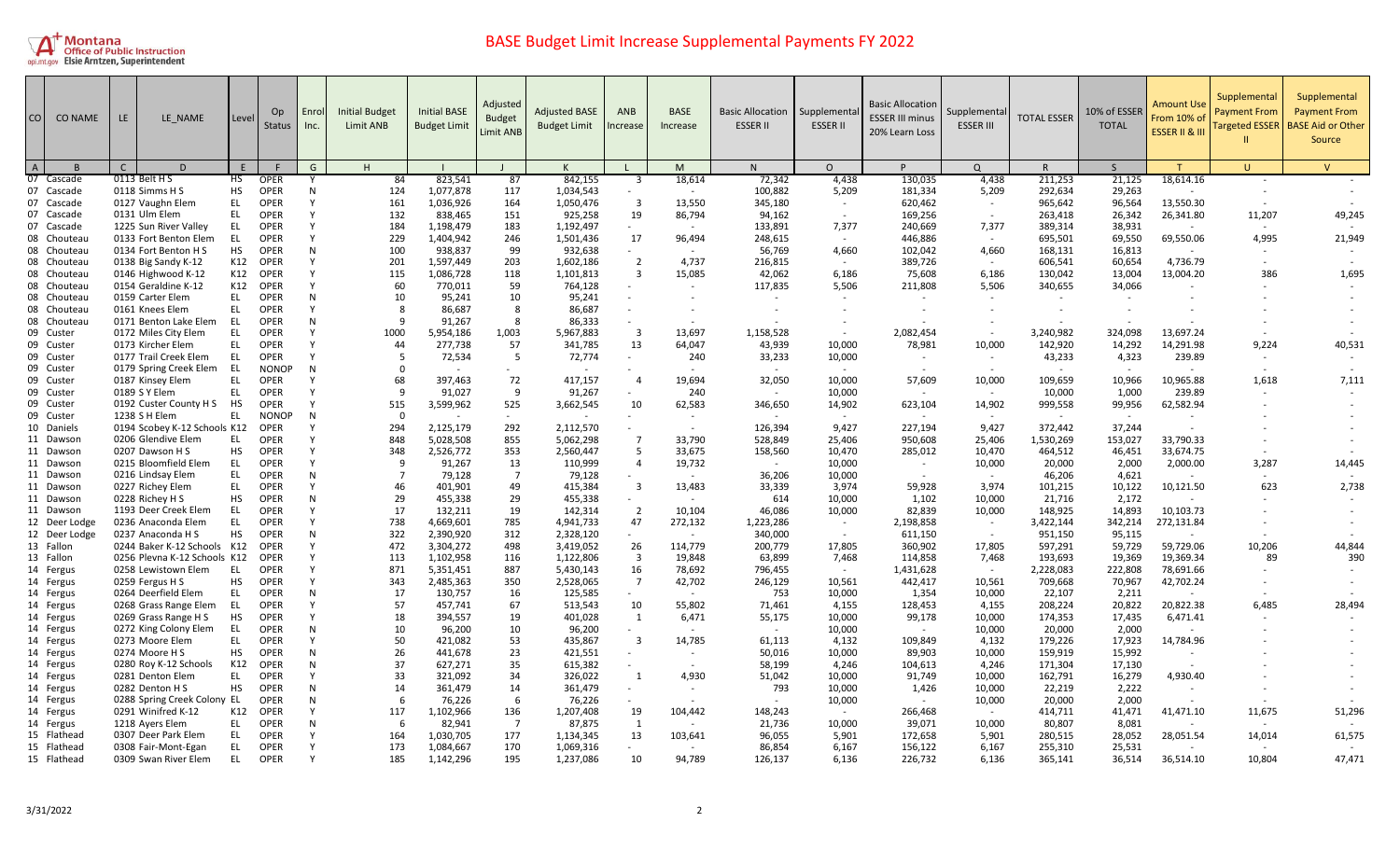

| CO                         | <b>CO NAME</b> | LE.<br>LE NAME                                | Level     | Op.<br><b>Status</b>       | Enrol<br>Inc. | <b>Initial Budget</b><br>Limit ANB | <b>Initial BASE</b><br><b>Budget Limit</b> | Adjusted<br><b>Budget</b><br><b>Limit ANB</b> | <b>Adjusted BASE</b><br><b>Budget Limit</b> | <b>ANB</b><br>ncrease   | <b>BASE</b><br>Increase | <b>Basic Allocation</b><br><b>ESSER II</b> | Supplementa<br><b>ESSER II</b> | <b>Basic Allocation</b><br><b>ESSER III minus</b><br>20% Learn Loss | Supplemental<br><b>ESSER III</b> | <b>TOTAL ESSER</b> | 10% of ESSER<br><b>TOTAL</b> | Amount Use<br>From 10% of<br>ESSER II & III | Supplemental<br>Payment From<br><b>Targeted ESSER</b> | Supplemental<br><b>Payment From</b><br><b>BASE Aid or Other</b><br>Source |
|----------------------------|----------------|-----------------------------------------------|-----------|----------------------------|---------------|------------------------------------|--------------------------------------------|-----------------------------------------------|---------------------------------------------|-------------------------|-------------------------|--------------------------------------------|--------------------------------|---------------------------------------------------------------------|----------------------------------|--------------------|------------------------------|---------------------------------------------|-------------------------------------------------------|---------------------------------------------------------------------------|
| $\overline{A}$             |                | $\mathsf{D}$<br>C.                            | E         |                            | G             | H                                  |                                            |                                               |                                             |                         | M                       | N.                                         | $\Omega$                       | P                                                                   | $\Omega$                         | R                  | $\mathsf{S}$                 |                                             | $\mathbf{U}$                                          | $\mathsf{V}$                                                              |
| 07 Cascade                 |                | 0113 Belt H S                                 | HS        | <b>OPER</b>                |               | 84                                 | 823,541                                    | 87                                            | 842,155                                     | 3                       | 18,614                  | 72,342                                     | 4,438                          | 130,035                                                             | 4,438                            | 211,253            | 21,125                       | 18,614.16                                   |                                                       |                                                                           |
| 07 Cascade                 |                | 0118 Simms H S                                | <b>HS</b> | <b>OPER</b>                | N             | 124                                | 1,077,878                                  | 117                                           | 1,034,543                                   |                         | $\sim$                  | 100,882                                    | 5,209                          | 181,334                                                             | 5,209                            | 292,634            | 29,263                       | $\sim$                                      |                                                       |                                                                           |
| 07 Cascade                 |                | 0127 Vaughn Elem                              | EL        | <b>OPER</b>                |               | 161                                | 1,036,926                                  | 164                                           | 1,050,476                                   | $\overline{\mathbf{3}}$ | 13,550                  | 345,180                                    |                                | 620,462                                                             | $\sim$                           | 965,642            | 96,564                       | 13,550.30                                   |                                                       |                                                                           |
| 07 Cascade                 |                | 0131 Ulm Elem                                 | EL        | <b>OPER</b>                |               | 132                                | 838,465                                    | 151                                           | 925,258                                     | 19                      | 86,794                  | 94,162                                     |                                | 169,256                                                             |                                  | 263,418            | 26,342                       | 26,341.80                                   | 11,207                                                | 49,245                                                                    |
| 07 Cascade                 |                | 1225 Sun River Valley                         | <b>EL</b> | <b>OPER</b><br><b>OPER</b> |               | 184<br>229                         | 1,198,479                                  | 183<br>246                                    | 1,192,497                                   | 17                      | $\sim$                  | 133,891                                    | 7,377<br>$\sim$                | 240,669                                                             | 7,377<br>$\sim$                  | 389,314            | 38,931                       |                                             |                                                       | 21,949                                                                    |
| 08 Chouteau<br>08 Chouteau |                | 0133 Fort Benton Elem<br>0134 Fort Benton H S | EL<br>HS  | <b>OPER</b>                | N             | 100                                | 1,404,942<br>938,837                       | 99                                            | 1,501,436<br>932.638                        |                         | 96,494                  | 248,615<br>56.769                          | 4,660                          | 446,886<br>102,042                                                  | 4.660                            | 695,501<br>168,131 | 69,550<br>16,813             | 69,550.06                                   | 4,995                                                 |                                                                           |
| 08 Chouteau                |                | 0138 Big Sandy K-12                           | K12       | <b>OPER</b>                |               | 201                                | 1,597,449                                  | 203                                           | 1,602,186                                   | $\overline{2}$          | 4,737                   |                                            |                                | 389,726                                                             | $\sim$                           |                    | 60,654                       | 4,736.79                                    |                                                       |                                                                           |
| 08 Chouteau                |                | 0146 Highwood K-12                            | K12       | <b>OPER</b>                |               | 115                                | 1,086,728                                  | 118                                           | 1,101,813                                   | $\overline{3}$          | 15,085                  | 216,815<br>42,062                          | 6,186                          | 75,608                                                              | 6,186                            | 606,541<br>130,042 | 13,004                       | 13,004.20                                   | 386                                                   | 1,695                                                                     |
| 08 Chouteau                |                | 0154 Geraldine K-12                           | K12       | <b>OPER</b>                |               | 60                                 | 770,011                                    | 59                                            | 764,128                                     |                         |                         | 117,835                                    | 5,506                          | 211,808                                                             | 5,506                            | 340,655            | 34,066                       |                                             |                                                       |                                                                           |
| 08 Chouteau                |                | 0159 Carter Elem                              | EL.       | <b>OPER</b>                | N             | 10                                 | 95,241                                     | 10                                            | 95,241                                      |                         |                         |                                            |                                |                                                                     |                                  |                    |                              |                                             |                                                       |                                                                           |
| 08 Chouteau                |                | 0161 Knees Elem                               | EL.       | <b>OPER</b>                | v             | 8                                  | 86,687                                     | 8                                             | 86,687                                      |                         |                         |                                            |                                |                                                                     |                                  |                    |                              |                                             |                                                       |                                                                           |
| 08 Chouteau                |                | 0171 Benton Lake Elem                         | EL        | <b>OPER</b>                | N             | q                                  | 91,267                                     | 8                                             | 86,333                                      |                         |                         |                                            |                                |                                                                     |                                  |                    |                              |                                             |                                                       |                                                                           |
| 09 Custer                  |                | 0172 Miles City Elem                          | EL        | <b>OPER</b>                |               | 1000                               | 5,954,186                                  | 1,003                                         | 5,967,883                                   | $\overline{3}$          | 13,697                  | 1,158,528                                  |                                | 2,082,454                                                           |                                  | 3,240,982          | 324,098                      | 13,697.24                                   |                                                       |                                                                           |
| 09 Custer                  |                | 0173 Kircher Elem                             | <b>EL</b> | <b>OPER</b>                |               | 44                                 | 277,738                                    | 57                                            | 341,785                                     | 13                      | 64,047                  | 43,939                                     | 10,000                         | 78,981                                                              | 10,000                           | 142,920            | 14,292                       | 14,291.98                                   | 9,224                                                 | 40,531                                                                    |
| 09 Custer                  |                | 0177 Trail Creek Elem                         | EL        | <b>OPER</b>                |               | 5                                  | 72,534                                     | -5                                            | 72,774                                      |                         | 240                     | 33,233                                     | 10,000                         | $\sim$                                                              | $\sim$                           | 43,233             | 4,323                        | 239.89                                      | $\sim$                                                |                                                                           |
| 09 Custer                  |                | 0179 Spring Creek Elem                        | EL        | <b>NONOP</b>               | N             | $\Omega$                           |                                            |                                               |                                             |                         |                         |                                            | $\sim$                         |                                                                     |                                  |                    |                              |                                             |                                                       |                                                                           |
| 09 Custer                  |                | 0187 Kinsey Elem                              | EL        | <b>OPER</b>                |               | 68                                 | 397,463                                    | 72                                            | 417,157                                     | $\overline{a}$          | 19,694                  | 32,050                                     | 10,000                         | 57,609                                                              | 10,000                           | 109,659            | 10,966                       | 10,965.88                                   | 1,618                                                 | 7,111                                                                     |
| 09 Custer                  |                | 0189 S Y Elem                                 | <b>EL</b> | <b>OPER</b>                |               | q                                  | 91,027                                     | q                                             | 91,267                                      |                         | 240                     |                                            | 10,000                         |                                                                     |                                  | 10,000             | 1,000                        | 239.89                                      |                                                       |                                                                           |
| 09 Custer                  |                | 0192 Custer County H S                        | <b>HS</b> | <b>OPER</b>                |               | 515                                | 3,599,962                                  | 525                                           | 3,662,545                                   | 10                      | 62,583                  | 346,650                                    | 14,902                         | 623,104                                                             | 14,902                           | 999,558            | 99,956                       | 62,582.94                                   |                                                       |                                                                           |
| 09 Custer                  |                | 1238 S H Elem                                 | EL        | <b>NONOP</b>               | N             | $\Omega$                           |                                            |                                               |                                             |                         |                         |                                            |                                |                                                                     |                                  |                    |                              |                                             |                                                       |                                                                           |
| 10 Daniels                 |                | 0194 Scobey K-12 Schools K12                  |           | <b>OPER</b>                |               | 294                                | 2,125,179                                  | 292                                           | 2,112,570                                   |                         |                         | 126,394                                    | 9,427                          | 227,194                                                             | 9,427                            | 372,442            | 37,244                       |                                             |                                                       |                                                                           |
| 11 Dawsor                  |                | 0206 Glendive Elem                            | EL        | <b>OPER</b>                |               | 848                                | 5,028,508                                  | 855                                           | 5,062,298                                   | $\overline{7}$          | 33,790                  | 528,849                                    | 25,406                         | 950,608                                                             | 25,406                           | 1,530,269          | 153,027                      | 33,790.33                                   |                                                       |                                                                           |
| 11 Dawson                  |                | 0207 Dawson H S                               | <b>HS</b> | <b>OPER</b>                | Y             | 348                                | 2,526,772                                  | 353                                           | 2,560,447                                   | -5                      | 33,675                  | 158,560                                    | 10,470                         | 285,012                                                             | 10,470                           | 464,512            | 46,451                       | 33.674.75                                   |                                                       |                                                                           |
| 11 Dawson                  |                | 0215 Bloomfield Elem                          | EL        | <b>OPER</b>                |               | -9                                 | 91,267                                     | 13                                            | 110,999                                     | $\overline{4}$          | 19,732                  | $\sim$                                     | 10,000                         | $\sim$                                                              | 10,000                           | 20,000             | 2,000                        | 2,000.00                                    | 3,287                                                 | 14,445                                                                    |
| 11 Dawsor                  |                | 0216 Lindsay Elem                             | <b>EL</b> | <b>OPER</b>                | N             |                                    | 79,128                                     | 7                                             | 79,128                                      |                         |                         | 36,206                                     | 10,000                         |                                                                     | $\sim$                           | 46,206             | 4,621                        |                                             |                                                       |                                                                           |
| 11 Dawson                  |                | 0227 Richey Elem                              | <b>EL</b> | <b>OPER</b>                | Υ             | 46                                 | 401,901                                    | 49                                            | 415,384                                     | $\overline{3}$          | 13,483                  | 33,339                                     | 3,974                          | 59,928                                                              | 3,974                            | 101,215            | 10,122                       | 10,121.50                                   | 623                                                   | 2,738                                                                     |
| 11 Dawson                  |                | 0228 Richey H S                               | <b>HS</b> | <b>OPER</b>                | N             | 29                                 | 455,338                                    | 29                                            | 455,338                                     |                         |                         | 614                                        | 10,000                         | 1,102                                                               | 10,000                           | 21,716             | 2,172                        |                                             |                                                       |                                                                           |
| 11 Dawson                  |                | 1193 Deer Creek Elem                          | EL        | <b>OPER</b>                | Υ             | 17                                 | 132,211                                    | 19                                            | 142,314                                     | $\overline{2}$          | 10,104                  | 46,086                                     | 10,000                         | 82,839                                                              | 10,000                           | 148,925            | 14,893                       | 10,103.73                                   |                                                       |                                                                           |
| 12 Deer Lodge              |                | 0236 Anaconda Elem                            | EL        | <b>OPER</b>                | Υ             | 738                                | 4,669,601                                  | 785                                           | 4,941,733                                   | 47                      | 272,132                 | 1,223,286                                  |                                | 2,198,858                                                           | $\sim$                           | 3,422,144          | 342,214                      | 272,131.84                                  |                                                       |                                                                           |
| 12 Deer Lodge              |                | 0237 Anaconda H S                             | <b>HS</b> | <b>OPER</b>                | N             | 322                                | 2,390,920                                  | 312                                           | 2,328,120                                   |                         | $\sim$                  | 340,000                                    | $\sim$                         | 611,150                                                             | $\sim$                           | 951,150            | 95,115                       |                                             |                                                       |                                                                           |
| 13 Fallon                  |                | 0244 Baker K-12 Schools K12                   |           | <b>OPER</b>                |               | 472                                | 3,304,272                                  | 498                                           | 3,419,052                                   | 26                      | 114,779                 | 200,779                                    | 17,805                         | 360,902                                                             | 17,805                           | 597,291            | 59,729                       | 59,729.06                                   | 10,206                                                | 44,844                                                                    |
| 13 Fallon                  |                | 0256 Plevna K-12 Schools K12                  |           | <b>OPER</b>                |               | 113                                | 1,102,958                                  | 116                                           | 1,122,806                                   | $\overline{\mathbf{3}}$ | 19,848                  | 63,899                                     | 7,468                          | 114,858                                                             | 7,468                            | 193,693            | 19,369                       | 19,369.34                                   | 89                                                    | 390                                                                       |
| 14 Fergus                  |                | 0258 Lewistown Elem                           | EL        | <b>OPER</b><br><b>OPER</b> |               | 871<br>343                         | 5,351,451<br>2,485,363                     | 887<br>350                                    | 5,430,143                                   | 16<br>$\overline{7}$    | 78,692                  | 796,455<br>246,129                         | $\sim$                         | 1,431,628                                                           | $\sim$<br>10,561                 | 2,228,083          | 222,808                      | 78,691.66                                   | $\sim$                                                |                                                                           |
| 14 Fergus                  |                | 0259 Fergus H S                               | HS<br>EL  | <b>OPER</b>                | N             | 17                                 |                                            | 16                                            | 2,528,065<br>125,585                        |                         | 42,702                  | 753                                        | 10,561                         | 442,417                                                             | 10,000                           | 709,668            | 70,967                       | 42,702.24                                   |                                                       |                                                                           |
| 14 Fergus<br>14 Fergus     |                | 0264 Deerfield Elem<br>0268 Grass Range Elem  | EL        | <b>OPER</b>                |               | 57                                 | 130,757<br>457.741                         | 67                                            | 513,543                                     | 10                      | 55,802                  | 71,461                                     | 10,000<br>4,155                | 1,354<br>128,453                                                    | 4,155                            | 22,107<br>208,224  | 2,211<br>20,822              | 20,822.38                                   | 6,485                                                 | 28,494                                                                    |
| 14 Fergus                  |                | 0269 Grass Range H S                          | HS        | <b>OPER</b>                |               | 18                                 | 394,557                                    | 19                                            | 401,028                                     | 1                       | 6,471                   | 55,175                                     | 10,000                         | 99,178                                                              | 10,000                           | 174,353            | 17,435                       | 6,471.41                                    |                                                       |                                                                           |
| 14 Fergus                  |                | 0272 King Colony Elem                         | EL        | <b>OPER</b>                | N             | 10                                 | 96,200                                     | 10                                            | 96,200                                      |                         |                         | $\sim$                                     | 10,000                         |                                                                     | 10,000                           | 20,000             | 2,000                        |                                             |                                                       |                                                                           |
| 14 Fergus                  |                | 0273 Moore Elem                               | EL        | <b>OPER</b>                | v             | 50                                 | 421,082                                    | 53                                            | 435,867                                     | $\overline{3}$          | 14,785                  | 61,113                                     | 4,132                          | 109,849                                                             | 4,132                            | 179,226            | 17,923                       | 14,784.96                                   |                                                       |                                                                           |
| 14 Fergus                  |                | 0274 Moore H S                                | HS        | <b>OPER</b>                | N             | 26                                 | 441,678                                    | 23                                            | 421,551                                     |                         |                         | 50,016                                     | 10,000                         | 89,903                                                              | 10,000                           | 159,919            | 15,992                       |                                             |                                                       |                                                                           |
| 14 Fergus                  |                | 0280 Roy K-12 Schools                         | K12       | <b>OPER</b>                | N             | 37                                 | 627,271                                    | 35                                            | 615,382                                     |                         | $\sim$                  | 58,199                                     | 4,246                          | 104,613                                                             | 4,246                            | 171,304            | 17,130                       |                                             |                                                       |                                                                           |
| 14 Fergus                  |                | 0281 Denton Elem                              | EL.       | <b>OPER</b>                |               | 33                                 | 321,092                                    | 34                                            | 326,022                                     | 1                       | 4,930                   | 51,042                                     | 10,000                         | 91,749                                                              | 10,000                           | 162,791            | 16,279                       | 4,930.40                                    |                                                       |                                                                           |
| 14 Fergus                  |                | 0282 Denton H S                               | <b>HS</b> | OPER                       | N             | 14                                 | 361.479                                    | 14                                            | 361.479                                     |                         |                         | 793                                        | 10,000                         | 1,426                                                               | 10.000                           | 22,219             | 2,222                        |                                             |                                                       |                                                                           |
| 14 Fergus                  |                | 0288 Spring Creek Colony EL                   |           | <b>OPER</b>                | N             | 6                                  | 76,226                                     | -6                                            | 76,226                                      |                         |                         | $\sim$                                     | 10,000                         | $\sim$                                                              | 10,000                           | 20,000             | 2,000                        |                                             |                                                       |                                                                           |
| 14 Fergus                  |                | 0291 Winifred K-12                            | K12       | <b>OPER</b>                |               | 117                                | 1,102,966                                  | 136                                           | 1,207,408                                   | 19                      | 104,442                 | 148,243                                    | $\sim$                         | 266,468                                                             | $\sim$                           | 414,711            | 41,471                       | 41,471.10                                   | 11,675                                                | 51,296                                                                    |
| 14 Fergus                  |                | 1218 Ayers Elem                               | EL.       | <b>OPER</b>                | N             | -6                                 | 82,941                                     | $\overline{7}$                                | 87,875                                      | $\mathbf{1}$            |                         | 21,736                                     | 10,000                         | 39,071                                                              | 10,000                           | 80,807             | 8,081                        |                                             |                                                       |                                                                           |
| 15 Flathead                |                | 0307 Deer Park Elem                           | EL        | <b>OPER</b>                |               | 164                                | 1,030,705                                  | 177                                           | 1,134,345                                   | 13                      | 103,641                 | 96,055                                     | 5,901                          | 172,658                                                             | 5,901                            | 280,515            | 28,052                       | 28,051.54                                   | 14,014                                                | 61,575                                                                    |
| 15 Flathead                |                | 0308 Fair-Mont-Egan                           | <b>EL</b> | <b>OPER</b>                |               | 173                                | 1,084,667                                  | 170                                           | 1,069,316                                   |                         |                         | 86,854                                     | 6,167                          | 156,122                                                             | 6,167                            | 255,310            | 25,531                       |                                             |                                                       |                                                                           |
| 15 Flathead                |                | 0309 Swan River Elem                          | EL        | <b>OPER</b>                |               | 185                                | 1,142,296                                  | 195                                           | 1,237,086                                   | 10                      | 94,789                  | 126,137                                    | 6,136                          | 226,732                                                             | 6,136                            | 365,141            | 36,514                       | 36,514.10                                   | 10,804                                                | 47,471                                                                    |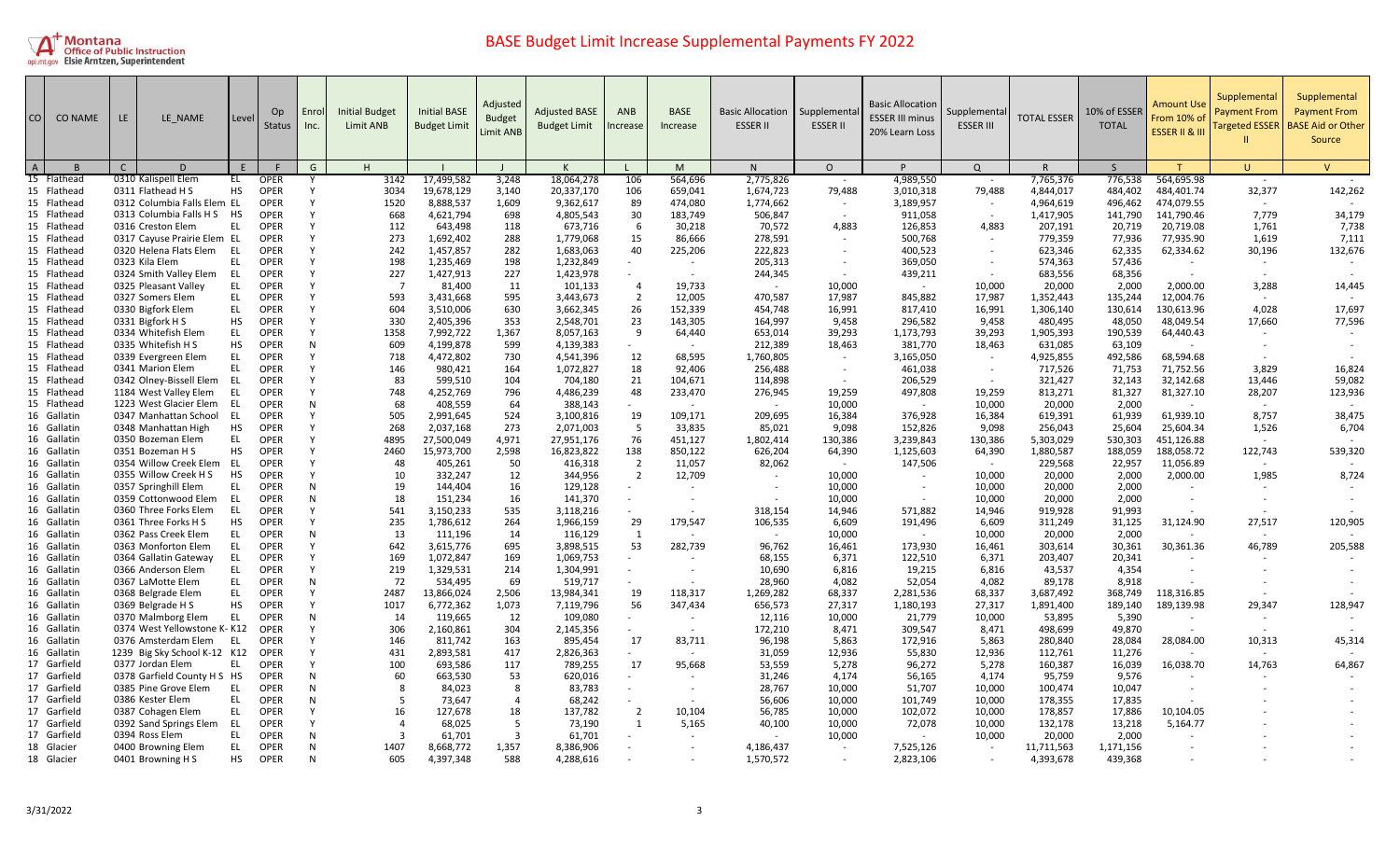

| CO I                       | <b>CO NAME</b> | LE. | LE NAME                                       | Level           | Op<br>Status               | Enrol<br>Inc. | <b>Initial Budget</b><br>Limit ANB | <b>Initial BASE</b><br><b>Budget Limit</b> | Adjusted<br><b>Budget</b><br>Limit ANB | <b>Adjusted BASE</b><br><b>Budget Limit</b> | <b>ANB</b><br>ncrease    | <b>BASE</b><br>Increase  | <b>Basic Allocation</b><br><b>ESSER II</b> | Supplementa<br><b>ESSER II</b> | <b>Basic Allocation</b><br><b>ESSER III minus</b><br>20% Learn Loss | Supplementa<br><b>ESSER III</b> | <b>TOTAL ESSER</b> | 10% of ESSEF<br><b>TOTAL</b> | Amount Use<br>From 10% of<br><b>ESSER II &amp; II</b> | Supplemental<br><b>Payment From</b><br><b>Targeted ESSER</b> | Supplemental<br><b>Payment From</b><br><b>BASE Aid or Other</b><br>Source |
|----------------------------|----------------|-----|-----------------------------------------------|-----------------|----------------------------|---------------|------------------------------------|--------------------------------------------|----------------------------------------|---------------------------------------------|--------------------------|--------------------------|--------------------------------------------|--------------------------------|---------------------------------------------------------------------|---------------------------------|--------------------|------------------------------|-------------------------------------------------------|--------------------------------------------------------------|---------------------------------------------------------------------------|
|                            |                | C   | D                                             |                 |                            | G             | н                                  |                                            |                                        | K                                           |                          | M                        | N                                          | $\circ$                        | P                                                                   | $\Omega$                        | $\mathsf{R}$       | <sub>S</sub>                 |                                                       | U.                                                           | $\mathsf{V}$                                                              |
| 15 Flathead                |                |     | 0310 Kalispell Elem                           | EL              | <b>OPER</b>                |               | 3142                               | 17,499,582                                 | 3,248                                  | 18,064,278                                  | 106                      | 564,696                  | 2,775,826                                  |                                | 4,989,550                                                           |                                 | 7,765,376          | 776,538                      | 564,695.98                                            |                                                              |                                                                           |
| 15 Flathead                |                |     | 0311 Flathead H S                             | <b>HS</b>       | OPER                       |               | 3034                               | 19,678,129                                 | 3,140                                  | 20,337,170                                  | 106                      | 659,041                  | 1,674,723                                  | 79,488                         | 3,010,318                                                           | 79,488                          | 4,844,017          | 484,402                      | 484,401.74                                            | 32,377                                                       | 142,262                                                                   |
| 15 Flathead                |                |     | 0312 Columbia Falls Elem EL                   |                 | <b>OPER</b>                |               | 1520                               | 8,888,537                                  | 1,609                                  | 9,362,617                                   | 89                       | 474,080                  | 1,774,662                                  | $\sim$                         | 3,189,957                                                           |                                 | 4,964,619          | 496,462                      | 474,079.55                                            |                                                              |                                                                           |
| 15 Flathead                |                |     | 0313 Columbia Falls H S                       | <b>HS</b>       | <b>OPER</b>                |               | 668                                | 4,621,794                                  | 698                                    | 4,805,543                                   | 30                       | 183.749                  | 506,847                                    |                                | 911.058                                                             |                                 | 1,417,905          | 141,790                      | 141.790.46                                            | 7.779                                                        | 34,179                                                                    |
| 15 Flathead                |                |     | 0316 Creston Elem                             | EL              | OPER                       |               | 112                                | 643,498                                    | 118                                    | 673,716                                     | 6                        | 30,218                   | 70,572                                     | 4,883                          | 126,853                                                             | 4,883                           | 207,191            | 20,719                       | 20,719.08                                             | 1,761                                                        | 7,738                                                                     |
| 15 Flathead                |                |     | 0317 Cayuse Prairie Elem EL                   |                 | <b>OPER</b>                |               | 273                                | 1,692,402                                  | 288                                    | 1,779,068                                   | 15                       | 86,666                   | 278,591                                    | $\sim$                         | 500,768                                                             |                                 | 779,359            | 77,936                       | 77,935.90                                             | 1,619                                                        | 7,111                                                                     |
| 15 Flathead                |                |     | 0320 Helena Flats Elem                        | EL              | <b>OPER</b>                |               | 242                                | 1,457,857                                  | 282                                    | 1,683,063                                   | 40                       | 225,206                  | 222,823                                    | $\sim$                         | 400,523                                                             |                                 | 623,346            | 62,335                       | 62,334.62                                             | 30,196                                                       | 132,676                                                                   |
| 15 Flathead                |                |     | 0323 Kila Elem                                | EL.             | <b>OPER</b>                |               | 198                                | 1,235,469                                  | 198                                    | 1,232,849                                   |                          |                          | 205,313                                    | $\sim$                         | 369,050                                                             |                                 | 574,363            | 57,436                       |                                                       | $\sim$                                                       |                                                                           |
| 15 Flathead                |                |     | 0324 Smith Valley Elem                        | - EL            | <b>OPER</b>                |               | 227                                | 1,427,913                                  | 227                                    | 1,423,978                                   |                          | $\sim$                   | 244,345                                    | $\sim$                         | 439,211                                                             | $\sim$                          | 683,556            | 68,356                       |                                                       |                                                              |                                                                           |
| 15 Flathead                |                |     | 0325 Pleasant Valley                          | EL.             | <b>OPER</b>                |               | $\overline{7}$                     | 81,400                                     | 11                                     | 101,133                                     | 4                        | 19,733                   |                                            | 10,000                         | $\sim$                                                              | 10,000                          | 20,000             | 2,000                        | 2,000.00                                              | 3,288                                                        | 14,445                                                                    |
| 15 Flathead                |                |     | 0327 Somers Elem                              | EL.             | <b>OPER</b>                |               | 593                                | 3,431,668                                  | 595                                    | 3,443,673                                   | $\overline{2}$           | 12,005                   | 470,587                                    | 17,987                         | 845,882                                                             | 17,987                          | 1,352,443          | 135,244                      | 12,004.76                                             |                                                              |                                                                           |
| 15 Flathead                |                |     | 0330 Bigfork Elem                             | EL.             | OPER                       |               | 604                                | 3,510,006                                  | 630                                    | 3,662,345                                   | 26                       | 152,339                  | 454,748                                    | 16,991                         | 817,410                                                             | 16,991                          | 1,306,140          | 130,614                      | 130,613.96                                            | 4,028                                                        | 17,697                                                                    |
| 15 Flathead                |                |     | 0331 Bigfork H S                              | <b>HS</b>       | <b>OPER</b>                |               | 330                                | 2,405,396                                  | 353                                    | 2,548,701                                   | 23                       | 143,305                  | 164,997                                    | 9,458                          | 296,582                                                             | 9,458                           | 480,495            | 48,050                       | 48,049.54                                             | 17,660                                                       | 77,596                                                                    |
| 15 Flathead                |                |     | 0334 Whitefish Elem                           | EL.             | <b>OPER</b>                |               | 1358                               | 7,992,722                                  | 1,367                                  | 8,057,163                                   | 9                        | 64,440                   | 653,014                                    | 39,293                         | 1,173,793                                                           | 39,293                          | 1,905,393          | 190,539                      | 64,440.43                                             |                                                              |                                                                           |
| 15 Flathead                |                |     | 0335 Whitefish H S                            | HS              | <b>OPER</b>                |               | 609                                | 4,199,878                                  | 599                                    | 4,139,383                                   |                          |                          | 212,389                                    | 18,463                         | 381,770                                                             | 18,463                          | 631,085            | 63,109                       |                                                       |                                                              |                                                                           |
| 15 Flathead                |                |     | 0339 Evergreen Elem                           | <b>EL</b>       | <b>OPER</b>                |               | 718                                | 4,472,802                                  | 730                                    | 4,541,396                                   | 12                       | 68,595                   | 1,760,805                                  | $\sim$                         | 3,165,050                                                           |                                 | 4,925,855          | 492,586                      | 68,594.68                                             |                                                              |                                                                           |
| 15 Flathead                |                |     | 0341 Marion Elem                              | EL.             | <b>OPER</b>                |               | 146                                | 980,421                                    | 164                                    | 1,072,827                                   | 18                       | 92,406                   | 256,488                                    | $\sim$                         | 461,038                                                             | $\overline{\phantom{a}}$        | 717,526            | 71,753                       | 71,752.56                                             | 3,829                                                        | 16,824                                                                    |
| 15 Flathead                |                |     | 0342 Olney-Bissell Elem                       | - EL            | <b>OPER</b>                |               | 83                                 | 599,510                                    | 104                                    | 704,180                                     | 21                       | 104,671                  | 114,898                                    |                                | 206,529                                                             | $\sim$                          | 321,427            | 32,143                       | 32,142.68                                             | 13,446                                                       | 59,082                                                                    |
| 15 Flathead                |                |     | 1184 West Valley Elem                         | EL              | <b>OPER</b>                |               | 748                                | 4,252,769                                  | 796                                    | 4,486,239                                   | 48                       | 233,470                  | 276,945                                    | 19,259                         | 497,808                                                             | 19,259                          | 813,271            | 81,327                       | 81,327.10                                             | 28,207                                                       | 123,936                                                                   |
| 15 Flathead                |                |     | 1223 West Glacier Elem                        | - EL            | <b>OPER</b>                |               | 68                                 | 408,559                                    | 64                                     | 388,143                                     | $\sim$                   |                          | $\sim$                                     | 10,000                         |                                                                     | 10,000                          | 20,000             | 2,000                        |                                                       |                                                              |                                                                           |
| 16 Gallatin                |                |     | 0347 Manhattan School                         | - EL            | <b>OPER</b>                |               | 505                                | 2,991,645                                  | 524                                    | 3,100,816                                   | 19                       | 109,171                  | 209,695                                    | 16,384                         | 376,928                                                             | 16,384                          | 619,391            | 61,939                       | 61,939.10                                             | 8,757                                                        | 38,475                                                                    |
| 16 Gallatin                |                |     | 0348 Manhattan High                           | HS              | <b>OPER</b>                |               | 268                                | 2,037,168                                  | 273                                    | 2,071,003                                   | 5                        | 33,835                   | 85,021                                     | 9,098                          | 152,826                                                             | 9,098                           | 256,043            | 25,604                       | 25,604.34                                             | 1,526                                                        | 6,704                                                                     |
| 16 Gallatin                |                |     | 0350 Bozeman Elem                             | EL              | OPER                       |               | 4895                               | 27,500,049                                 | 4,971                                  | 27,951,176                                  | 76                       | 451,127                  | 1,802,414                                  | 130,386                        | 3,239,843                                                           | 130,386                         | 5,303,029          | 530,303                      | 451,126.88                                            |                                                              |                                                                           |
| 16 Gallatin                |                |     | 0351 Bozeman H S                              | НS              | <b>OPER</b>                |               | 2460                               | 15,973,700                                 | 2,598                                  | 16,823,822                                  | 138                      | 850,122                  | 626,204                                    | 64,390                         | 1,125,603                                                           | 64,390                          | 1,880,587          | 188,059                      | 188,058.72                                            | 122,743                                                      | 539,320                                                                   |
| 16 Gallatin                |                |     | 0354 Willow Creek Elem                        | - EL            | <b>OPER</b>                |               | 48                                 | 405,261                                    | 50                                     | 416,318                                     | 2                        | 11,057                   | 82,062                                     | $\sim$                         | 147,506                                                             | $\sim$                          | 229,568            | 22,957                       | 11,056.89                                             |                                                              |                                                                           |
| 16 Gallatin                |                |     | 0355 Willow Creek H S                         | HS<br><b>EL</b> | <b>OPER</b>                |               | 10<br>19                           | 332,247                                    | 12<br>16                               | 344,956                                     | $\overline{2}$<br>$\sim$ | 12,709                   |                                            | 10,000                         |                                                                     | 10,000                          | 20,000             | 2,000                        | 2,000.00                                              | 1,985                                                        | 8,724                                                                     |
| 16 Gallatin                |                |     | 0357 Springhill Elem                          |                 | <b>OPER</b><br><b>OPER</b> |               | 18                                 | 144,404                                    |                                        | 129,128                                     | $\sim$                   |                          | $\overline{\phantom{a}}$                   | 10,000                         | $\sim$                                                              | 10,000                          | 20,000             | 2,000                        |                                                       |                                                              |                                                                           |
| 16 Gallatin<br>16 Gallatin |                |     | 0359 Cottonwood Elem<br>0360 Three Forks Elem | - EL<br>EL      | <b>OPER</b>                |               |                                    | 151,234                                    | 16                                     | 141,370<br>3.118.216                        |                          |                          |                                            | 10,000                         | 571.882                                                             | 10,000                          | 20,000             | 2,000                        |                                                       |                                                              |                                                                           |
| 16 Gallatin                |                |     | 0361 Three Forks H S                          | НS              | OPER                       |               | 541<br>235                         | 3,150,233<br>1,786,612                     | 535<br>264                             | 1,966,159                                   | 29                       | 179,547                  | 318,154<br>106,535                         | 14,946<br>6,609                | 191,496                                                             | 14,946<br>6,609                 | 919,928<br>311,249 | 91,993<br>31,125             | 31,124.90                                             | 27,517                                                       | 120,905                                                                   |
| 16 Gallatin                |                |     | 0362 Pass Creek Elem                          | EL              | <b>OPER</b>                |               | 13                                 | 111,196                                    | 14                                     | 116,129                                     | 1                        |                          | $\sim$                                     | 10,000                         | $\sim$                                                              | 10,000                          | 20,000             | 2,000                        |                                                       |                                                              |                                                                           |
| 16 Gallatin                |                |     | 0363 Monforton Elem                           | EL              | <b>OPER</b>                |               | 642                                | 3,615,776                                  | 695                                    | 3,898,515                                   | 53                       | 282,739                  | 96,762                                     | 16,461                         | 173,930                                                             | 16,461                          | 303,614            | 30,361                       | 30,361.36                                             | 46.789                                                       | 205,588                                                                   |
| 16 Gallatin                |                |     | 0364 Gallatin Gateway                         | EL.             | <b>OPER</b>                |               | 169                                | 1,072,847                                  | 169                                    | 1,069,753                                   |                          |                          | 68,155                                     | 6,371                          | 122,510                                                             | 6,371                           | 203,407            | 20,341                       |                                                       |                                                              |                                                                           |
| 16 Gallatin                |                |     | 0366 Anderson Elem                            | EL.             | <b>OPER</b>                |               | 219                                | 1,329,531                                  | 214                                    | 1,304,991                                   | $\sim$                   | $\sim$                   | 10,690                                     | 6,816                          | 19,215                                                              | 6,816                           | 43,537             | 4,354                        |                                                       |                                                              |                                                                           |
| 16 Gallatin                |                |     | 0367 LaMotte Elem                             | EL.             | <b>OPER</b>                |               | 72                                 | 534,495                                    | 69                                     | 519,717                                     |                          |                          | 28,960                                     | 4,082                          | 52,054                                                              | 4,082                           | 89,178             | 8,918                        |                                                       |                                                              |                                                                           |
| 16 Gallatin                |                |     | 0368 Belgrade Elem                            | EL.             | <b>OPER</b>                |               | 2487                               | 13,866,024                                 | 2,506                                  | 13,984,341                                  | 19                       | 118,317                  | 1,269,282                                  | 68,337                         | 2,281,536                                                           | 68,337                          | 3,687,492          | 368,749                      | 118,316.85                                            |                                                              |                                                                           |
| 16 Gallatin                |                |     | 0369 Belgrade H S                             | НS              | <b>OPER</b>                |               | 1017                               | 6,772,362                                  | 1,073                                  | 7,119,796                                   | 56                       | 347,434                  | 656,573                                    | 27,317                         | 1,180,193                                                           | 27,317                          | 1,891,400          | 189,140                      | 189,139.98                                            | 29,347                                                       | 128,947                                                                   |
| 16 Gallatin                |                |     | 0370 Malmborg Elem                            | EL              | <b>OPER</b>                |               | 14                                 | 119,665                                    | 12                                     | 109,080                                     | $\sim$                   | $\overline{\phantom{a}}$ | 12,116                                     | 10,000                         | 21,779                                                              | 10,000                          | 53,895             | 5,390                        |                                                       |                                                              |                                                                           |
| 16 Gallatin                |                |     | 0374 West Yellowstone K- K12                  |                 | <b>OPER</b>                |               | 306                                | 2,160,861                                  | 304                                    | 2,145,356                                   | $\sim$                   |                          | 172,210                                    | 8,471                          | 309,547                                                             | 8,471                           | 498,699            | 49,870                       |                                                       |                                                              |                                                                           |
| 16 Gallatin                |                |     | 0376 Amsterdam Elem                           | - EL            | OPER                       |               | 146                                | 811,742                                    | 163                                    | 895,454                                     | 17                       | 83,711                   | 96,198                                     | 5,863                          | 172,916                                                             | 5,863                           | 280,840            | 28,084                       | 28,084.00                                             | 10,313                                                       | 45,314                                                                    |
| 16 Gallatin                |                |     | 1239 Big Sky School K-12 K12                  |                 | <b>OPER</b>                |               | 431                                | 2,893,581                                  | 417                                    | 2,826,363                                   | $\sim$                   | $\sim$                   | 31,059                                     | 12,936                         | 55,830                                                              | 12,936                          | 112,761            | 11,276                       |                                                       |                                                              |                                                                           |
| 17 Garfield                |                |     | 0377 Jordan Elem                              | EL.             | <b>OPER</b>                |               | 100                                | 693,586                                    | 117                                    | 789,255                                     | 17                       | 95,668                   | 53,559                                     | 5,278                          | 96,272                                                              | 5,278                           | 160,387            | 16,039                       | 16,038.70                                             | 14,763                                                       | 64,867                                                                    |
| 17 Garfield                |                |     | 0378 Garfield County H S HS                   |                 | <b>OPER</b>                |               | 60                                 | 663,530                                    | 53                                     | 620,016                                     |                          |                          | 31,246                                     | 4,174                          | 56,165                                                              | 4,174                           | 95,759             | 9,576                        |                                                       |                                                              |                                                                           |
| 17 Garfielc                |                |     | 0385 Pine Grove Elem                          | EL              | <b>OPER</b>                |               | 8                                  | 84,023                                     | 8                                      | 83,783                                      |                          |                          | 28,767                                     | 10,000                         | 51,707                                                              | 10,000                          | 100,474            | 10,047                       |                                                       |                                                              |                                                                           |
| 17 Garfield                |                |     | 0386 Kester Elem                              | EL              | <b>OPER</b>                |               | -5                                 | 73,647                                     | $\overline{4}$                         | 68,242                                      | $\sim$                   | $\sim$                   | 56,606                                     | 10,000                         | 101,749                                                             | 10,000                          | 178,355            | 17,835                       |                                                       |                                                              |                                                                           |
| 17 Garfield                |                |     | 0387 Cohagen Elem                             | EL.             | <b>OPER</b>                |               | 16                                 | 127,678                                    | 18                                     | 137,782                                     | 2                        | 10,104                   | 56,785                                     | 10,000                         | 102,072                                                             | 10,000                          | 178,857            | 17,886                       | 10,104.05                                             |                                                              |                                                                           |
| 17 Garfield                |                |     | 0392 Sand Springs Elem                        | - EL            | <b>OPER</b>                |               | $\Delta$                           | 68,025                                     | -5                                     | 73,190                                      | $\mathbf{1}$             | 5,165                    | 40,100                                     | 10,000                         | 72,078                                                              | 10,000                          | 132,178            | 13,218                       | 5,164.77                                              |                                                              |                                                                           |
| 17 Garfield                |                |     | 0394 Ross Elem                                | EL              | <b>OPER</b>                |               |                                    | 61,701                                     | $\overline{3}$                         | 61,701                                      |                          |                          | $\overline{\phantom{a}}$                   | 10,000                         | $\overline{\phantom{a}}$                                            | 10,000                          | 20,000             | 2,000                        |                                                       |                                                              |                                                                           |
| 18 Glacier                 |                |     | 0400 Browning Elem                            | EL.             | <b>OPER</b>                |               | 1407                               | 8,668,772                                  | 1,357                                  | 8,386,906                                   |                          |                          | 4,186,437                                  | $\sim$                         | 7,525,126                                                           |                                 | 11,711,563         | 1,171,156                    |                                                       |                                                              |                                                                           |
| 18 Glacier                 |                |     | 0401 Browning H S                             | HS.             | <b>OPER</b>                |               | 605                                | 4,397,348                                  | 588                                    | 4,288,616                                   |                          |                          | 1,570,572                                  |                                | 2,823,106                                                           |                                 | 4,393,678          | 439,368                      |                                                       |                                                              |                                                                           |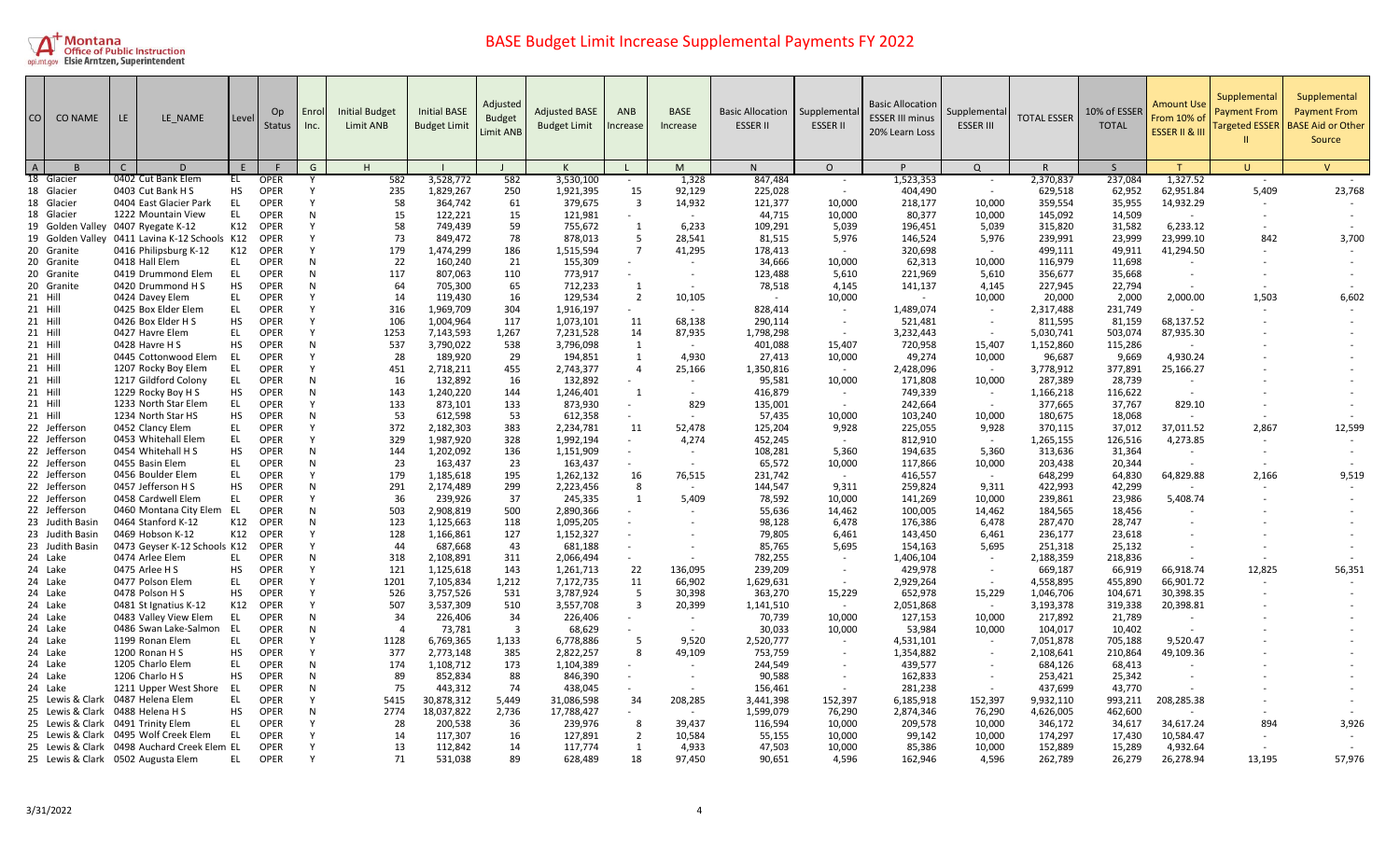

| CO             | <b>CO NAME</b>                     | LE. | LE NAME                                       | Level     | O <sub>p</sub><br>Status   | Enrol<br>Inc. | <b>Initial Budget</b><br><b>Limit ANB</b> | <b>Initial BASE</b><br><b>Budget Limit</b> | Adjusted<br><b>Budget</b><br>Limit ANB | <b>Adjusted BASE</b><br><b>Budget Limit</b> | <b>ANB</b><br>ncrease | <b>BASE</b><br>Increase  | <b>Basic Allocation</b><br><b>ESSER II</b> | Supplementa<br><b>ESSER II</b> | <b>Basic Allocation</b><br><b>ESSER III minus</b><br>20% Learn Loss | Supplementa<br><b>ESSER III</b> | <b>TOTAL ESSER</b> | 10% of ESSER<br><b>TOTAL</b> | Amount Us<br>From 10% o<br><b>ESSER II &amp; II</b> | Supplemental<br>Payment From<br><b>Targeted ESSER</b> | Supplemental<br><b>Payment From</b><br><b>BASE Aid or Other</b><br>Source |
|----------------|------------------------------------|-----|-----------------------------------------------|-----------|----------------------------|---------------|-------------------------------------------|--------------------------------------------|----------------------------------------|---------------------------------------------|-----------------------|--------------------------|--------------------------------------------|--------------------------------|---------------------------------------------------------------------|---------------------------------|--------------------|------------------------------|-----------------------------------------------------|-------------------------------------------------------|---------------------------------------------------------------------------|
| $\overline{A}$ |                                    | C   | D                                             |           |                            | G             | H                                         |                                            |                                        |                                             |                       | M                        | N                                          | $\circ$                        |                                                                     | $\Omega$                        |                    | <sub>S</sub>                 |                                                     | U.                                                    | $\mathsf{V}$                                                              |
|                | 18 Glacier                         |     | 0402 Cut Bank Elem                            | EL        | <b>OPER</b>                |               | 582                                       | 3,528,772                                  | 582                                    | 3,530,100                                   |                       | 1,328                    | 847,484                                    | $\sim$                         | 1,523,353                                                           |                                 | 2,370,837          | 237,084                      | 1,327.52                                            |                                                       |                                                                           |
|                | 18 Glacier                         |     | 0403 Cut Bank H S                             | <b>HS</b> | <b>OPER</b>                |               | 235                                       | 1,829,267                                  | 250                                    | 1,921,395                                   | 15                    | 92,129                   | 225,028                                    | $\sim$                         | 404,490                                                             | $\sim$                          | 629,518            | 62,952                       | 62,951.84                                           | 5,409                                                 | 23,768                                                                    |
|                | 18 Glacier                         |     | 0404 East Glacier Park                        | EL        | <b>OPER</b>                |               | 58                                        | 364,742                                    | 61                                     | 379,675                                     | $\overline{3}$        | 14,932                   | 121,377                                    | 10,000                         | 218,177                                                             | 10,000                          | 359,554            | 35,955                       | 14,932.29                                           |                                                       |                                                                           |
|                | 18 Glacier                         |     | 1222 Mountain View                            | EL        | <b>OPER</b>                | N             | 15                                        | 122,221                                    | 15                                     | 121,981                                     |                       |                          | 44,715                                     | 10,000                         | 80,377                                                              | 10,000                          | 145,092            | 14,509                       |                                                     |                                                       |                                                                           |
|                | 19 Golden Valley 0407 Ryegate K-12 |     |                                               | K12       | <b>OPER</b>                |               | 58                                        | 749,439                                    | 59                                     | 755,672                                     | 1                     | 6,233                    | 109,291                                    | 5,039                          | 196,451                                                             | 5,039                           | 315,820            | 31,582                       | 6,233.12                                            |                                                       |                                                                           |
|                |                                    |     | 19 Golden Valley 0411 Lavina K-12 Schools K12 |           | <b>OPER</b>                |               | 73                                        | 849,472                                    | 78                                     | 878,013                                     | -5                    | 28,541                   | 81,515                                     | 5,976                          | 146,524                                                             | 5,976                           | 239,991            | 23,999                       | 23,999.10                                           | 842                                                   | 3,700                                                                     |
|                | 20 Granite                         |     | 0416 Philipsburg K-12                         | K12       | <b>OPER</b>                |               | 179                                       | 1,474,299                                  | 186                                    | 1,515,594                                   | $\overline{7}$        | 41,295                   | 178,413                                    | $\sim$                         | 320,698                                                             | $\sim$                          | 499,111            | 49,911                       | 41,294.50                                           |                                                       |                                                                           |
|                | 20 Granite                         |     | 0418 Hall Elem                                | EL        | OPER                       | N             | 22                                        | 160,240                                    | 21                                     | 155,309                                     |                       |                          | 34,666                                     | 10,000                         | 62,313                                                              | 10,000                          | 116,979            | 11,698                       |                                                     |                                                       |                                                                           |
|                | 20 Granite                         |     | 0419 Drummond Elem                            | EL        | <b>OPER</b>                | N             | 117                                       | 807,063                                    | 110                                    | 773,917                                     | $\sim$                | $\sim$                   | 123,488                                    | 5,610                          | 221,969                                                             | 5,610                           | 356,677            | 35,668                       |                                                     |                                                       |                                                                           |
|                | 20 Granite                         |     | 0420 Drummond H S                             | HS        | <b>OPER</b>                | N             | 64                                        | 705,300                                    | 65                                     | 712,233                                     | 1                     |                          | 78,518                                     | 4,145                          | 141,137                                                             | 4,145                           | 227,945            | 22,794                       |                                                     |                                                       |                                                                           |
|                | 21 Hill                            |     | 0424 Davey Elem                               | EL        | <b>OPER</b>                |               | 14                                        | 119,430                                    | 16                                     | 129,534                                     | $\overline{2}$        | 10,105                   | $\sim$                                     | 10,000                         |                                                                     | 10,000                          | 20,000             | 2,000                        | 2,000.00                                            | 1,503                                                 | 6,602                                                                     |
|                | 21 Hill                            |     | 0425 Box Elder Elem                           | EL        | <b>OPER</b>                |               | 316                                       | 1,969,709                                  | 304                                    | 1,916,197                                   |                       |                          | 828,414                                    | $\sim$                         | 1,489,074                                                           |                                 | 2,317,488          | 231,749                      |                                                     |                                                       |                                                                           |
|                | 21 Hill                            |     | 0426 Box Elder H S                            | <b>HS</b> | <b>OPER</b>                |               | 106                                       | 1,004,964                                  | 117                                    | 1,073,101                                   | 11                    | 68,138                   | 290,114                                    | $\sim$                         | 521,481                                                             | $\sim$                          | 811,595            | 81,159                       | 68,137.52                                           |                                                       |                                                                           |
|                | 21 Hill                            |     | 0427 Havre Elem                               | EL        | <b>OPER</b>                |               | 1253                                      | 7,143,593                                  | 1,267                                  | 7,231,528                                   | 14                    | 87,935                   | 1,798,298                                  |                                | 3,232,443                                                           |                                 | 5,030,741          | 503,074                      | 87,935.30                                           |                                                       |                                                                           |
|                | 21 Hill                            |     | 0428 Havre H S                                | <b>HS</b> | <b>OPER</b>                | N             | 537                                       | 3,790,022                                  | 538                                    | 3,796,098                                   | 1                     |                          | 401,088                                    | 15,407                         | 720,958                                                             | 15,407                          | 1,152,860          | 115,286                      |                                                     |                                                       |                                                                           |
|                | 21 Hill                            |     | 0445 Cottonwood Elem                          | -EL       | <b>OPER</b>                |               | -28                                       | 189,920                                    | 29                                     | 194,851                                     | 1                     | 4.930                    | 27,413                                     | 10,000                         | 49,274                                                              | 10,000                          | 96,687             | 9,669                        | 4,930.24                                            |                                                       |                                                                           |
|                | 21 Hill                            |     | 1207 Rocky Boy Elem                           | EL        | <b>OPER</b>                |               | 451                                       | 2,718,211                                  | 455                                    | 2,743,377                                   | $\overline{4}$        | 25,166                   | 1,350,816                                  | $\sim$                         | 2,428,096                                                           |                                 | 3,778,912          | 377,891                      | 25,166.27                                           |                                                       |                                                                           |
|                | 21 Hill                            |     | 1217 Gildford Colony                          | EL        | <b>OPER</b>                | N             | 16                                        | 132,892                                    | 16                                     | 132,892                                     |                       |                          | 95,581                                     | 10,000                         | 171,808                                                             | 10,000                          | 287,389            | 28,739                       |                                                     |                                                       |                                                                           |
|                | 21 Hill                            |     | 1229 Rocky Boy H S                            | HS        | <b>OPER</b>                | N             | 143<br>133                                | 1,240,220                                  | 144                                    | 1,246,401                                   | -1<br>$\sim$          |                          | 416,879                                    | $\sim$<br>$\sim$               | 749,339                                                             | $\sim$<br>$\sim$                | 1,166,218          | 116,622                      |                                                     |                                                       |                                                                           |
|                | 21 Hill                            |     | 1233 North Star Elem                          | EL        | <b>OPER</b><br><b>OPER</b> | N             | 53                                        | 873,101<br>612,598                         | 133                                    | 873,930                                     |                       | 829                      | 135,001                                    |                                | 242,664                                                             |                                 | 377,665            | 37,767                       | 829.10                                              |                                                       |                                                                           |
|                | 21 Hill<br>22 Jefferson            |     | 1234 North Star HS<br>0452 Clancy Elem        | HS<br>EL  | <b>OPER</b>                |               | 372                                       | 2,182,303                                  | 53<br>383                              | 612,358<br>2,234,781                        |                       | 52,478                   | 57,435<br>125,204                          | 10,000<br>9,928                | 103,240<br>225,055                                                  | 10,000<br>9,928                 | 180,675<br>370,115 | 18,068<br>37,012             | 37,011.52                                           | 2,867                                                 | 12,599                                                                    |
|                | 22 Jefferson                       |     | 0453 Whitehall Elem                           | EL        | <b>OPER</b>                |               | 329                                       | 1,987,920                                  | 328                                    | 1,992,194                                   | 11                    | 4,274                    | 452,245                                    | $\sim$                         | 812,910                                                             | $\sim$                          | 1,265,155          | 126,516                      | 4,273.85                                            |                                                       |                                                                           |
|                | 22 Jefferson                       |     | 0454 Whitehall H S                            | <b>HS</b> | <b>OPER</b>                | N             | 144                                       | 1,202,092                                  | 136                                    | 1,151,909                                   |                       |                          | 108,281                                    | 5.360                          | 194,635                                                             | 5,360                           |                    | 31,364                       |                                                     |                                                       |                                                                           |
|                | 22 Jefferson                       |     | 0455 Basin Elem                               | EL        | <b>OPER</b>                | N             | 23                                        | 163,437                                    | 23                                     | 163,437                                     |                       |                          | 65,572                                     | 10,000                         | 117,866                                                             | 10,000                          | 313,636<br>203,438 | 20,344                       |                                                     |                                                       |                                                                           |
|                | 22 Jefferson                       |     | 0456 Boulder Elem                             | EL        | <b>OPER</b>                | <b>V</b>      | 179                                       | 1,185,618                                  | 195                                    | 1,262,132                                   | 16                    | 76,515                   | 231,742                                    | $\sim$                         | 416,557                                                             | $\sim$                          | 648,299            | 64,830                       | 64,829.88                                           | 2,166                                                 | 9,519                                                                     |
|                | 22 Jefferson                       |     | 0457 Jefferson H S                            | HS        | <b>OPER</b>                | N             | 291                                       | 2,174,489                                  | 299                                    | 2,223,456                                   | 8                     | $\sim$                   | 144,547                                    | 9,311                          | 259,824                                                             | 9,311                           | 422,993            | 42,299                       |                                                     |                                                       |                                                                           |
|                | 22 Jefferson                       |     | 0458 Cardwell Elem                            | EL        | <b>OPER</b>                |               | 36                                        | 239,926                                    | 37                                     | 245,335                                     | $\mathbf{1}$          | 5,409                    | 78,592                                     | 10,000                         | 141,269                                                             | 10,000                          | 239,861            | 23,986                       | 5,408.74                                            |                                                       |                                                                           |
|                | 22 Jefferson                       |     | 0460 Montana City Elem                        | EL        | <b>OPER</b>                | N             | 503                                       | 2,908,819                                  | 500                                    | 2,890,366                                   |                       |                          | 55,636                                     | 14,462                         | 100,005                                                             | 14,462                          | 184,565            | 18,456                       |                                                     |                                                       |                                                                           |
|                | 23 Judith Basin                    |     | 0464 Stanford K-12                            | K12       | <b>OPER</b>                | N             | 123                                       | 1,125,663                                  | 118                                    | 1,095,205                                   |                       |                          | 98,128                                     | 6,478                          | 176,386                                                             | 6,478                           | 287,470            | 28,747                       |                                                     |                                                       |                                                                           |
|                | 23 Judith Basin                    |     | 0469 Hobson K-12                              | K12       | <b>OPER</b>                |               | 128                                       | 1,166,861                                  | 127                                    | 1,152,327                                   |                       |                          | 79,805                                     | 6,461                          | 143,450                                                             | 6,461                           | 236,177            | 23,618                       |                                                     |                                                       |                                                                           |
|                | 23 Judith Basin                    |     | 0473 Geyser K-12 Schools K12                  |           | <b>OPER</b>                |               | 44                                        | 687,668                                    | 43                                     | 681,188                                     |                       |                          | 85,765                                     | 5,695                          | 154,163                                                             | 5,695                           | 251,318            | 25,132                       |                                                     |                                                       |                                                                           |
|                | 24 Lake                            |     | 0474 Arlee Elem                               | EL.       | <b>OPER</b>                | N             | 318                                       | 2,108,891                                  | 311                                    | 2,066,494                                   |                       |                          | 782,255                                    | $\sim$                         | 1,406,104                                                           |                                 | 2,188,359          | 218,836                      |                                                     |                                                       |                                                                           |
|                | 24 Lake                            |     | 0475 Arlee H S                                | HS        | <b>OPER</b>                |               | 121                                       | 1,125,618                                  | 143                                    | 1,261,713                                   | 22                    | 136,095                  | 239,209                                    | $\sim$                         | 429,978                                                             | $\sim$                          | 669,187            | 66,919                       | 66,918.74                                           | 12,825                                                | 56,351                                                                    |
|                | 24 Lake                            |     | 0477 Polson Elem                              | EL        | OPER                       |               | 1201                                      | 7,105,834                                  | 1,212                                  | 7,172,735                                   | 11                    | 66,902                   | 1,629,631                                  | $\sim$                         | 2,929,264                                                           |                                 | 4,558,895          | 455,890                      | 66,901.72                                           |                                                       |                                                                           |
|                | 24 Lake                            |     | 0478 Polson H S                               | HS        | <b>OPER</b>                |               | 526                                       | 3,757,526                                  | 531                                    | 3,787,924                                   | -5                    | 30,398                   | 363,270                                    | 15,229                         | 652,978                                                             | 15,229                          | 1,046,706          | 104,671                      | 30,398.35                                           |                                                       |                                                                           |
|                | 24 Lake                            |     | 0481 St Ignatius K-12                         | K12       | <b>OPER</b>                |               | 507                                       | 3,537,309                                  | 510                                    | 3,557,708                                   | $\overline{3}$        | 20,399                   | 1,141,510                                  | $\sim$                         | 2,051,868                                                           | $\sim$                          | 3,193,378          | 319,338                      | 20,398.81                                           |                                                       |                                                                           |
|                | 24 Lake                            |     | 0483 Valley View Elem                         | EL        | <b>OPER</b>                | N             | -34                                       | 226,406                                    | 34                                     | 226,406                                     |                       | $\overline{\phantom{a}}$ | 70,739                                     | 10,000                         | 127,153                                                             | 10,000                          | 217,892            | 21,789                       |                                                     |                                                       |                                                                           |
|                | 24 Lake                            |     | 0486 Swan Lake-Salmon                         | EL        | <b>OPER</b>                | N             | $\Delta$                                  | 73,781                                     | $\overline{3}$                         | 68,629                                      |                       |                          | 30,033                                     | 10,000                         | 53,984                                                              | 10,000                          | 104,017            | 10,402                       |                                                     |                                                       |                                                                           |
|                | 24 Lake                            |     | 1199 Ronan Elem                               | EL        | <b>OPER</b>                |               | 1128                                      | 6,769,365                                  | 1,133                                  | 6,778,886                                   | -5                    | 9,520                    | 2,520,777                                  |                                | 4,531,101                                                           |                                 | 7,051,878          | 705,188                      | 9,520.47                                            |                                                       |                                                                           |
|                | 24 Lake                            |     | 1200 Ronan H S                                | <b>HS</b> | OPER                       |               | 377                                       | 2,773,148                                  | 385                                    | 2,822,257                                   | 8                     | 49,109                   | 753,759                                    |                                | 1,354,882                                                           |                                 | 2,108,641          | 210,864                      | 49,109.36                                           |                                                       |                                                                           |
|                | 24 Lake                            |     | 1205 Charlo Elem                              | EL        | <b>OPER</b>                | N             | 174                                       | 1,108,712                                  | 173                                    | 1,104,389                                   |                       |                          | 244,549                                    |                                | 439.577                                                             |                                 | 684,126            | 68,413                       |                                                     |                                                       |                                                                           |
|                | 24 Lake                            |     | 1206 Charlo H S                               | HS        | <b>OPER</b>                | N             | 89                                        | 852,834                                    | 88                                     | 846,390                                     |                       |                          | 90,588                                     |                                | 162,833                                                             |                                 | 253,421            | 25,342                       |                                                     |                                                       |                                                                           |
|                | 24 Lake                            |     | 1211 Upper West Shore                         | -EL       | <b>OPER</b>                | N             | 75                                        | 443,312                                    | 74                                     | 438,045                                     |                       |                          | 156,461                                    |                                | 281,238                                                             |                                 | 437,699            | 43,770                       |                                                     |                                                       |                                                                           |
|                | 25 Lewis & Clark                   |     | 0487 Helena Elem                              | EL        | <b>OPER</b>                |               | 5415                                      | 30,878,312                                 | 5,449                                  | 31,086,598                                  | 34                    | 208,285                  | 3,441,398                                  | 152,397                        | 6,185,918                                                           | 152,397                         | 9,932,110          | 993,211                      | 208,285.38                                          |                                                       |                                                                           |
|                | 25 Lewis & Clark 0488 Helena H S   |     |                                               | HS        | <b>OPER</b>                | N             | 2774                                      | 18,037,822                                 | 2,736                                  | 17,788,427                                  |                       |                          | 1,599,079                                  | 76,290                         | 2,874,346                                                           | 76,290                          | 4,626,005          | 462,600                      |                                                     |                                                       |                                                                           |
|                | 25 Lewis & Clark 0491 Trinity Elem |     |                                               | EL        | OPER                       |               | 28                                        | 200,538                                    | 36                                     | 239,976                                     | 8                     | 39,437                   | 116,594                                    | 10,000                         | 209,578                                                             | 10,000                          | 346,172            | 34,617                       | 34,617.24                                           | 894                                                   | 3,926                                                                     |
|                |                                    |     | 25 Lewis & Clark 0495 Wolf Creek Elem         | EL        | <b>OPER</b>                |               | 14                                        | 117,307                                    | 16                                     | 127,891                                     | $\overline{2}$        | 10,584                   | 55,155                                     | 10,000                         | 99,142                                                              | 10,000                          | 174,297            | 17,430                       | 10,584.47                                           |                                                       |                                                                           |
|                |                                    |     | 25 Lewis & Clark 0498 Auchard Creek Elem EL   |           | <b>OPER</b>                |               | 13                                        | 112,842                                    | 14                                     | 117,774                                     | -1                    | 4,933                    | 47,503                                     | 10,000                         | 85,386                                                              | 10,000                          | 152,889            | 15,289                       | 4,932.64                                            |                                                       |                                                                           |
|                | 25 Lewis & Clark 0502 Augusta Elem |     |                                               | EL        | <b>OPER</b>                |               | 71                                        | 531,038                                    | 89                                     | 628,489                                     | 18                    | 97.450                   | 90,651                                     | 4.596                          | 162,946                                                             | 4,596                           | 262,789            | 26,279                       | 26,278.94                                           | 13,195                                                | 57,976                                                                    |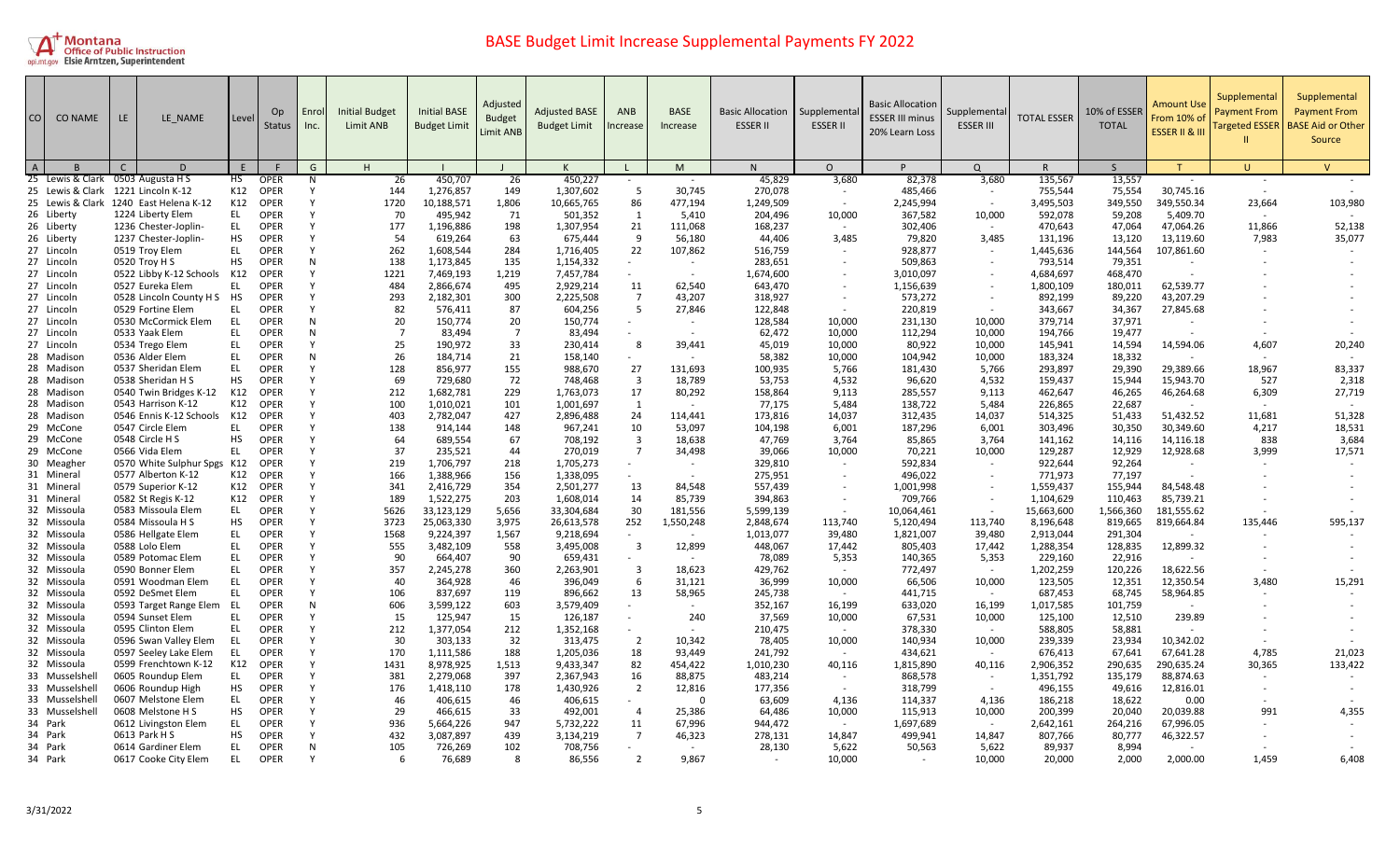

| CO             | <b>CO NAME</b>                     | LE | LE NAME                                         | Level     | Op.<br>Status       | Enrol<br>Inc. | <b>Initial Budget</b><br>Limit ANB | <b>Initial BASE</b><br><b>Budget Limit</b> | Adjusted<br><b>Budget</b><br><b>Limit ANB</b> | <b>Adjusted BASE</b><br><b>Budget Limit</b> | ANB<br>ncrease       | <b>BASE</b><br>Increase | <b>Basic Allocation</b><br><b>ESSER II</b> | Supplementa<br><b>ESSER II</b> | <b>Basic Allocation</b><br><b>ESSER III minus</b><br>20% Learn Loss | Supplementa<br><b>ESSER III</b> | <b>TOTAL ESSER</b> | 10% of ESSER<br><b>TOTAL</b> | Amount Use<br>From 10% of<br>ESSER II & III | Supplemental<br><b>Payment From</b><br><b>Targeted ESSER</b> | Supplemental<br><b>Payment From</b><br><b>BASE Aid or Other</b><br>Source |
|----------------|------------------------------------|----|-------------------------------------------------|-----------|---------------------|---------------|------------------------------------|--------------------------------------------|-----------------------------------------------|---------------------------------------------|----------------------|-------------------------|--------------------------------------------|--------------------------------|---------------------------------------------------------------------|---------------------------------|--------------------|------------------------------|---------------------------------------------|--------------------------------------------------------------|---------------------------------------------------------------------------|
| $\overline{A}$ |                                    | C  | $\Gamma$                                        | F         |                     | G             | H.                                 |                                            |                                               |                                             | $\perp$              | M                       | N.                                         | $\Omega$                       |                                                                     | $\Omega$                        | R                  | $\mathsf{S}$                 |                                             | $\mathbf{U}$                                                 | $\mathsf{V}$                                                              |
|                | 25 Lewis & Clark 0503 Augusta H S  |    |                                                 | HS        | <b>OPER</b>         | N             | 26                                 | 450,707                                    | 26                                            | 450,227                                     |                      |                         | 45,829                                     | 3,680                          | 82,378                                                              | 3,680                           | 135,567            | 13,557                       |                                             | $\sim$                                                       |                                                                           |
|                | 25 Lewis & Clark 1221 Lincoln K-12 |    |                                                 | K12       | <b>OPER</b>         | Y             | 144                                | 1,276,857                                  | 149                                           | 1,307,602                                   | -5                   | 30,745                  | 270,078                                    |                                | 485,466                                                             | $\sim$                          | 755,544            | 75,554                       | 30,745.16                                   | $\sim$                                                       |                                                                           |
|                |                                    |    | 25 Lewis & Clark 1240 East Helena K-12          | K12       | <b>OPER</b>         | Υ             | 1720                               | 10,188,571                                 | 1,806                                         | 10,665,765                                  | 86                   | 477,194                 | 1,249,509                                  |                                | 2,245,994                                                           |                                 | 3,495,503          | 349,550                      | 349,550.34                                  | 23,664                                                       | 103,980                                                                   |
|                | 26 Liberty                         |    | 1224 Liberty Elem                               | EL.       | OPER                | Y             | 70                                 | 495,942                                    | 71                                            | 501,352                                     | 1                    | 5,410                   | 204,496                                    | 10,000                         | 367,582                                                             | 10,000                          | 592,078            | 59,208                       | 5,409.70                                    | $\sim$                                                       |                                                                           |
|                | 26 Liberty                         |    | 1236 Chester-Joplin-                            | EL.       | <b>OPER</b>         | ٧             | 177                                | 1,196,886                                  | 198                                           | 1,307,954                                   | 21                   | 111,068                 | 168,237                                    |                                | 302,406                                                             | $\sim$                          | 470,643            | 47,064                       | 47,064.26                                   | 11,866                                                       | 52,138                                                                    |
|                | 26 Liberty                         |    | 1237 Chester-Joplin-                            | <b>HS</b> | <b>OPER</b>         | Y             | 54                                 | 619,264                                    | 63                                            | 675,444                                     | 9                    | 56,180                  | 44,406                                     | 3,485                          | 79,820                                                              | 3,485                           | 131,196            | 13,120                       | 13,119.60                                   | 7,983                                                        | 35,077                                                                    |
|                | 27 Lincoln                         |    | 0519 Troy Elem                                  | EL        | OPER                | Y             | 262                                | 1,608,544                                  | 284                                           | 1,716,405                                   | 22                   | 107,862                 | 516,759                                    |                                | 928,877                                                             |                                 | 1,445,636          | 144,564                      | 107,861.60                                  |                                                              |                                                                           |
|                | 27 Lincoln                         |    | 0520 Troy H S                                   | <b>HS</b> | <b>OPER</b>         | N             | 138                                | 1,173,845                                  | 135                                           | 1,154,332                                   |                      |                         | 283,651                                    |                                | 509,863                                                             |                                 | 793,514            | 79,351                       |                                             |                                                              |                                                                           |
|                | 27 Lincoln                         |    | 0522 Libby K-12 Schools                         | K12       | <b>OPER</b>         | Υ             | 1221                               | 7,469,193                                  | 1,219                                         | 7,457,784                                   | $\sim$               | $\sim$                  | 1,674,600                                  |                                | 3,010,097                                                           |                                 | 4,684,697          | 468,470                      |                                             |                                                              |                                                                           |
|                | 27 Lincoln                         |    | 0527 Eureka Elem                                | EL.       | OPER<br>OPER        | v             | 484                                | 2,866,674                                  | 495                                           | 2,929,214                                   | 11<br>$\overline{7}$ | 62,540                  | 643,470                                    |                                | 1,156,639                                                           |                                 | 1,800,109          | 180,011                      | 62,539.77                                   |                                                              |                                                                           |
|                | 27 Lincoln<br>27 Lincoln           |    | 0528 Lincoln County H S HS<br>0529 Fortine Elem | EL        | <b>OPER</b>         | Y             | 293<br>82                          | 2,182,301<br>576,411                       | 300<br>87                                     | 2,225,508<br>604,256                        | -5                   | 43,207<br>27,846        | 318,927<br>122,848                         |                                | 573,272<br>220,819                                                  |                                 | 892,199<br>343,667 | 89,220<br>34,367             | 43,207.29<br>27,845.68                      |                                                              |                                                                           |
|                | 27 Lincoln                         |    | 0530 McCormick Elem                             | EL        | <b>OPER</b>         | N             | 20                                 | 150,774                                    | 20                                            | 150,774                                     |                      | $\sim$                  | 128,584                                    | 10,000                         | 231,130                                                             | 10,000                          | 379,714            | 37,971                       | ٠                                           |                                                              |                                                                           |
|                | 27 Lincoln                         |    | 0533 Yaak Elem                                  | EL.       | <b>OPER</b>         | N             | $\overline{7}$                     | 83,494                                     | $\overline{7}$                                | 83,494                                      |                      |                         | 62,472                                     | 10,000                         | 112,294                                                             | 10,000                          | 194,766            | 19,477                       |                                             |                                                              |                                                                           |
|                | 27 Lincoln                         |    | 0534 Trego Elem                                 | EL.       | <b>OPER</b>         | Y             | 25                                 | 190,972                                    | 33                                            | 230,414                                     | 8                    | 39,441                  | 45,019                                     | 10,000                         | 80,922                                                              | 10,000                          | 145,941            | 14,594                       | 14,594.06                                   | 4,607                                                        | 20,240                                                                    |
|                | 28 Madison                         |    | 0536 Alder Elem                                 | EL        | <b>OPER</b>         | N             | 26                                 | 184,714                                    | 21                                            | 158,140                                     |                      |                         | 58,382                                     | 10,000                         | 104,942                                                             | 10,000                          | 183,324            | 18,332                       |                                             |                                                              |                                                                           |
|                | 28 Madison                         |    | 0537 Sheridan Elem                              | EL.       | OPER                | Y             | 128                                | 856,977                                    | 155                                           | 988.670                                     | 27                   | 131.693                 | 100.935                                    | 5,766                          | 181,430                                                             | 5.766                           | 293,897            | 29,390                       | 29.389.66                                   | 18,967                                                       | 83,337                                                                    |
|                | 28 Madison                         |    | 0538 Sheridan H S                               | <b>HS</b> | <b>OPER</b>         | ٧             | 69                                 | 729,680                                    | 72                                            | 748,468                                     | $\overline{3}$       | 18,789                  | 53,753                                     | 4,532                          | 96,620                                                              | 4,532                           | 159,437            | 15,944                       | 15,943.70                                   | 527                                                          | 2,318                                                                     |
|                | 28 Madison                         |    | 0540 Twin Bridges K-12                          | K12       | OPER                |               | 212                                | 1,682,781                                  | 229                                           | 1,763,073                                   | 17                   | 80,292                  | 158,864                                    | 9,113                          | 285,557                                                             | 9,113                           | 462,647            | 46,265                       | 46,264.68                                   | 6,309                                                        | 27,719                                                                    |
|                | 28 Madison                         |    | 0543 Harrison K-12                              | K12       | <b>OPER</b>         | ٧             | 100                                | 1,010,021                                  | 101                                           | 1,001,697                                   | 1                    | $\sim$                  | 77,175                                     | 5,484                          | 138,722                                                             | 5,484                           | 226,865            | 22,687                       |                                             |                                                              |                                                                           |
|                | 28 Madison                         |    | 0546 Ennis K-12 Schools K12                     |           | <b>OPER</b>         |               | 403                                | 2,782,047                                  | 427                                           | 2,896,488                                   | 24                   | 114,441                 | 173,816                                    | 14,037                         | 312,435                                                             | 14,037                          | 514,325            | 51,433                       | 51,432.52                                   | 11,681                                                       | 51,328                                                                    |
|                | 29 McCone                          |    | 0547 Circle Elem                                | EL.       | OPER                |               | 138                                | 914,144                                    | 148                                           | 967,241                                     | 10                   | 53,097                  | 104,198                                    | 6,001                          | 187,296                                                             | 6,001                           | 303,496            | 30,350                       | 30,349.60                                   | 4,217                                                        | 18,531                                                                    |
|                | 29 McCone                          |    | 0548 Circle H S                                 | <b>HS</b> | <b>OPER</b>         |               | 64                                 | 689,554                                    | 67                                            | 708,192                                     | -3                   | 18,638                  | 47,769                                     | 3,764                          | 85,865                                                              | 3,764                           | 141,162            | 14,116                       | 14,116.18                                   | 838                                                          | 3,684                                                                     |
|                | 29 McCone                          |    | 0566 Vida Elem                                  | EL.       | <b>OPER</b>         |               | 37                                 | 235,521                                    | 44                                            | 270,019                                     | $\overline{7}$       | 34,498                  | 39,066                                     | 10,000                         | 70,221                                                              | 10,000                          | 129,287            | 12,929                       | 12,928.68                                   | 3,999                                                        | 17,571                                                                    |
|                | 30 Meagher                         |    | 0570 White Sulphur Spgs                         | K12       | <b>OPER</b>         |               | 219                                | 1,706,797                                  | 218                                           | 1,705,273                                   |                      |                         | 329,810                                    |                                | 592,834                                                             |                                 | 922,644            | 92,264                       |                                             |                                                              |                                                                           |
|                | 31 Mineral                         |    | 0577 Alberton K-12                              | K12       | <b>OPEF</b>         |               | 166                                | 1,388,966                                  | 156                                           | 1.338.095                                   |                      |                         | 275.951                                    |                                | 496.022                                                             |                                 | 771,973            | 77,197                       |                                             |                                                              |                                                                           |
|                | 31 Mineral                         |    | 0579 Superior K-12                              | K12       | <b>OPER</b>         | Y             | 341                                | 2,416,729                                  | 354                                           | 2,501,277                                   | 13                   | 84,548                  | 557,439                                    |                                | 1,001,998                                                           |                                 | 1,559,437          | 155,944                      | 84.548.48                                   |                                                              |                                                                           |
|                | 31 Mineral                         |    | 0582 St Regis K-12                              | K12       | <b>OPER</b>         | ٧             | 189                                | 1,522,275                                  | 203                                           | 1,608,014                                   | 14                   | 85,739                  | 394,863                                    |                                | 709,766                                                             |                                 | 1,104,629          | 110,463                      | 85,739.21                                   |                                                              |                                                                           |
|                | 32 Missoula                        |    | 0583 Missoula Elem                              | EL        | <b>OPER</b>         |               | 5626                               | 33,123,129                                 | 5,656                                         | 33,304,684                                  | 30                   | 181,556                 | 5,599,139                                  |                                | 10,064,461                                                          |                                 | 15,663,600         | 1,566,360                    | 181,555.62                                  |                                                              |                                                                           |
|                | 32 Missoula                        |    | 0584 Missoula H S                               | <b>HS</b> | <b>OPER</b>         |               | 3723                               | 25,063,330                                 | 3,975                                         | 26,613,578                                  | 252                  | 1,550,248               | 2,848,674                                  | 113,740                        | 5,120,494                                                           | 113,740                         | 8,196,648          | 819,665                      | 819,664.84                                  | 135,446                                                      | 595,137                                                                   |
|                | 32 Missoula                        |    | 0586 Hellgate Elem                              | EL.       | <b>OPER</b>         | v             | 1568                               | 9,224,397                                  | 1,567                                         | 9,218,694                                   | $\sim$               |                         | 1,013,077                                  | 39,480                         | 1,821,007                                                           | 39,480                          | 2,913,044          | 291,304                      |                                             |                                                              |                                                                           |
|                | 32 Missoula                        |    | 0588 Lolo Elem                                  | EL.       | <b>OPER</b>         | Y             | 555                                | 3,482,109                                  | 558                                           | 3,495,008                                   | $\overline{3}$       | 12,899                  | 448,067                                    | 17,442                         | 805,403                                                             | 17,442                          | 1,288,354          | 128,835                      | 12,899.32                                   |                                                              |                                                                           |
|                | 32 Missoula                        |    | 0589 Potomac Elem                               | EL        | <b>OPER</b>         |               | 90                                 | 664,407                                    | 90                                            | 659,431                                     |                      |                         | 78,089                                     | 5,353                          | 140,365                                                             | 5,353                           | 229,160            | 22,916                       |                                             |                                                              |                                                                           |
|                | 32 Missoula                        |    | 0590 Bonner Elem                                | EL.       | <b>OPER</b>         |               | 357                                | 2,245,278                                  | 360                                           | 2,263,901                                   | $\overline{3}$       | 18,623                  | 429,762                                    | $\sim$                         | 772,497                                                             | $\sim$                          | 1,202,259          | 120,226                      | 18,622.56                                   |                                                              |                                                                           |
|                | 32 Missoula                        |    | 0591 Woodman Elem                               | <b>EL</b> | <b>OPER</b>         |               | 40                                 | 364,928                                    | 46                                            | 396,049                                     | 6                    | 31,121                  | 36,999                                     | 10,000                         | 66,506                                                              | 10,000                          | 123,505            | 12,351                       | 12,350.54                                   | 3,480                                                        | 15,291                                                                    |
|                | 32 Missoula                        |    | 0592 DeSmet Elem                                | EL        | <b>OPER</b>         | Y             | 106                                | 837,697                                    | 119                                           | 896,662                                     | 13                   | 58,965                  | 245,738                                    |                                | 441,715                                                             | $\sim$                          | 687,453            | 68,745                       | 58,964.85                                   |                                                              |                                                                           |
|                | 32 Missoula                        |    | 0593 Target Range Elem                          | - EL      | OPER                | N             | 606                                | 3,599,122                                  | 603                                           | 3,579,409                                   |                      | $\sim$                  | 352,167                                    | 16,199                         | 633,020                                                             | 16,199                          | 1,017,585          | 101,759                      |                                             |                                                              |                                                                           |
|                | 32 Missoula                        |    | 0594 Sunset Elem                                | EL.       | OPER                | Y             | 15                                 | 125,947                                    | 15                                            | 126,187                                     |                      | 240                     | 37,569                                     | 10,000                         | 67,531                                                              | 10,000                          | 125,100            | 12,510                       | 239.89                                      |                                                              |                                                                           |
|                | 32 Missoula                        |    | 0595 Clinton Elem                               | EL.<br>EL | <b>OPER</b><br>OPER |               | 212<br>30                          | 1,377,054                                  | 212                                           | 1,352,168                                   |                      |                         | 210,475                                    |                                | 378,330                                                             | $\overline{\phantom{a}}$        | 588,805            | 58,881                       |                                             |                                                              |                                                                           |
|                | 32 Missoula<br>32 Missoula         |    | 0596 Swan Valley Elem<br>0597 Seeley Lake Elem  | EL        | <b>OPER</b>         |               | 170                                | 303,133<br>1,111,586                       | 32<br>188                                     | 313,475<br>1,205,036                        | $\overline{2}$<br>18 | 10,342<br>93,449        | 78,405<br>241,792                          | 10,000                         | 140,934<br>434,621                                                  | 10,000<br>$\sim$                | 239,339<br>676,413 | 23,934<br>67,641             | 10,342.02<br>67,641.28                      | 4,785                                                        | 21,023                                                                    |
|                | 32 Missoula                        |    | 0599 Frenchtown K-12                            | K12       | <b>OPER</b>         | $\checkmark$  | 1431                               | 8,978,925                                  | 1,513                                         | 9,433,347                                   | 82                   | 454,422                 | 1,010,230                                  | 40,116                         | 1,815,890                                                           | 40,116                          | 2,906,352          | 290,635                      | 290,635.24                                  | 30,365                                                       | 133,422                                                                   |
|                | 33 Musselshell                     |    | 0605 Roundup Elem                               | EL.       | <b>OPER</b>         |               | 381                                | 2,279,068                                  | 397                                           | 2,367,943                                   | 16                   | 88,875                  | 483,214                                    |                                | 868,578                                                             |                                 | 1,351,792          | 135,179                      | 88,874.63                                   |                                                              |                                                                           |
|                | 33 Musselshel                      |    | 0606 Roundup High                               | <b>HS</b> | OPER                |               | 176                                | 1,418,110                                  | 178                                           | 1.430.926                                   | $\overline{2}$       | 12,816                  | 177,356                                    |                                | 318.799                                                             |                                 | 496,155            | 49,616                       | 12,816.01                                   |                                                              |                                                                           |
|                | 33 Musselshell                     |    | 0607 Melstone Elem                              | EL.       | <b>OPER</b>         | ٧             | 46                                 | 406,615                                    | 46                                            | 406,615                                     |                      | - 0                     | 63,609                                     | 4,136                          | 114,337                                                             | 4,136                           | 186,218            | 18,622                       | 0.00                                        |                                                              |                                                                           |
|                | 33 Musselshell                     |    | 0608 Melstone H S                               | <b>HS</b> | <b>OPER</b>         | Y             | 29                                 | 466,615                                    | 33                                            | 492,001                                     | $\overline{4}$       | 25,386                  | 64,486                                     | 10,000                         | 115,913                                                             | 10,000                          | 200,399            | 20,040                       | 20,039.88                                   | 991                                                          | 4,355                                                                     |
|                | 34 Park                            |    | 0612 Livingston Elem                            | EL        | <b>OPER</b>         | v             | 936                                | 5,664,226                                  | 947                                           | 5,732,222                                   | 11                   | 67,996                  | 944,472                                    |                                | 1,697,689                                                           | $\sim$                          | 2,642,161          | 264,216                      | 67,996.05                                   |                                                              |                                                                           |
|                | 34 Park                            |    | 0613 Park H S                                   | <b>HS</b> | <b>OPER</b>         | ٧             | 432                                | 3,087,897                                  | 439                                           | 3,134,219                                   | $\overline{7}$       | 46,323                  | 278,131                                    | 14,847                         | 499,941                                                             | 14,847                          | 807,766            | 80,777                       | 46,322.57                                   |                                                              |                                                                           |
|                | 34 Park                            |    | 0614 Gardiner Elem                              | EL.       | <b>OPER</b>         | N             | 105                                | 726,269                                    | 102                                           | 708,756                                     |                      | $\sim$                  | 28,130                                     | 5,622                          | 50,563                                                              | 5,622                           | 89,937             | 8,994                        |                                             |                                                              |                                                                           |
|                | 34 Park                            |    | 0617 Cooke City Elem                            | EL        | <b>OPER</b>         | v             | 6                                  | 76,689                                     | -8                                            | 86,556                                      | $\overline{2}$       | 9.867                   |                                            | 10,000                         |                                                                     | 10,000                          | 20,000             | 2,000                        | 2,000.00                                    | 1,459                                                        | 6,408                                                                     |
|                |                                    |    |                                                 |           |                     |               |                                    |                                            |                                               |                                             |                      |                         |                                            |                                |                                                                     |                                 |                    |                              |                                             |                                                              |                                                                           |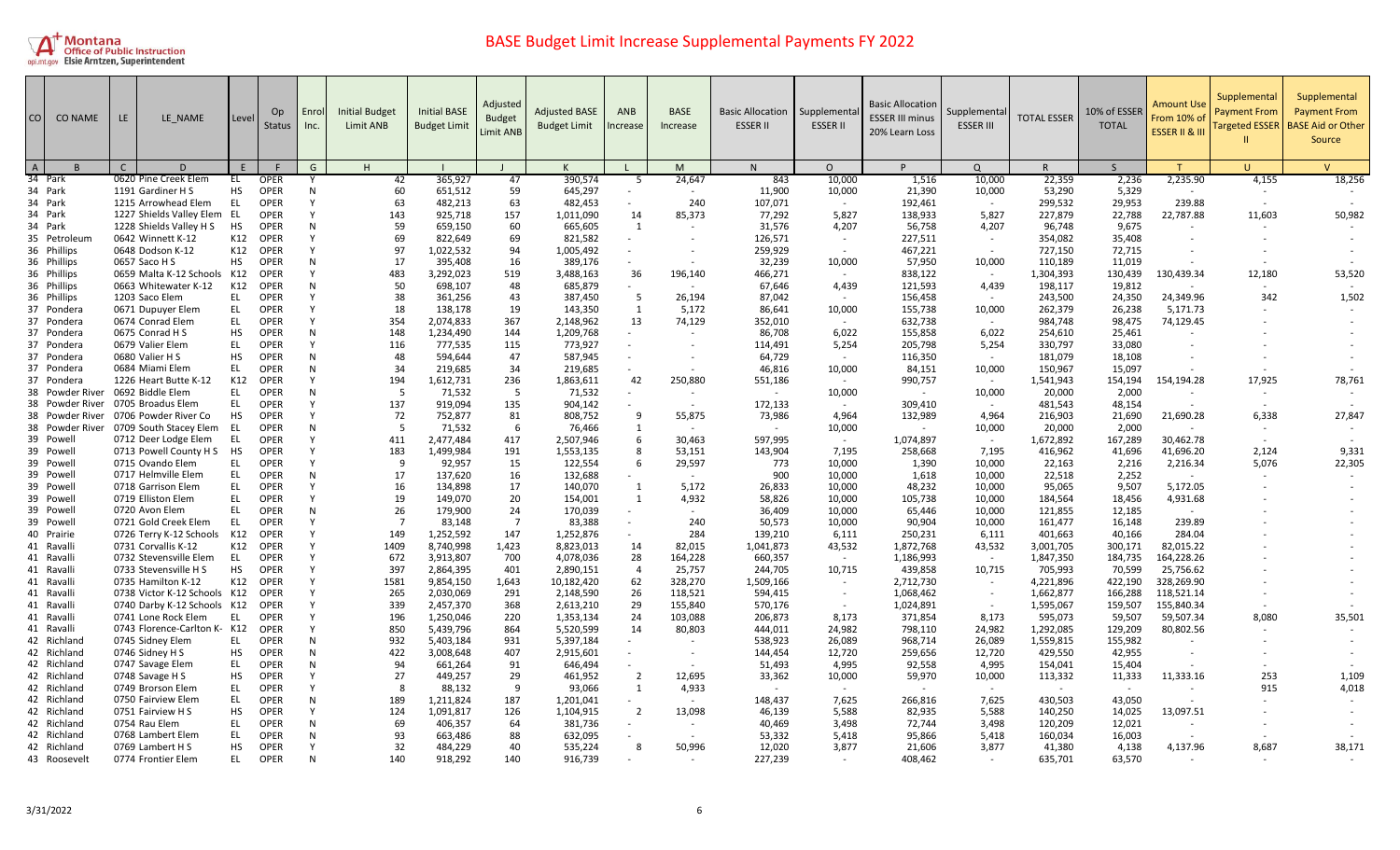

| CO             | <b>CO NAME</b>             | LE. | LE NAME                                                     | Level      | Op.<br>Status              | Enrol<br>Inc. | <b>Initial Budget</b><br>Limit ANB | <b>Initial BASE</b><br><b>Budget Limit</b> | Adjusted<br><b>Budget</b><br><b>Limit ANB</b> | <b>Adjusted BASE</b><br><b>Budget Limit</b> | <b>ANB</b><br>ncrease | <b>BASE</b><br>Increase | <b>Basic Allocation</b><br><b>ESSER II</b> | Supplementa<br><b>ESSER II</b> | <b>Basic Allocation</b><br><b>ESSER III minus</b><br>20% Learn Loss | Supplemental<br><b>ESSER III</b> | <b>TOTAL ESSER</b>   | 10% of ESSER<br><b>TOTAL</b> | Amount Use<br>From 10% of<br>ESSER II & III | Supplemental<br><b>Payment From</b><br><b>Targeted ESSER</b> | Supplemental<br><b>Payment From</b><br><b>BASE Aid or Other</b><br>Source |
|----------------|----------------------------|-----|-------------------------------------------------------------|------------|----------------------------|---------------|------------------------------------|--------------------------------------------|-----------------------------------------------|---------------------------------------------|-----------------------|-------------------------|--------------------------------------------|--------------------------------|---------------------------------------------------------------------|----------------------------------|----------------------|------------------------------|---------------------------------------------|--------------------------------------------------------------|---------------------------------------------------------------------------|
| $\overline{A}$ |                            | C   | D                                                           | F          |                            | G             | H                                  |                                            |                                               |                                             |                       | M                       | N                                          | $\Omega$                       |                                                                     | $\Omega$                         | R                    | $\mathsf{S}$                 |                                             | Ħ                                                            | $\overline{V}$                                                            |
|                | 34 Park                    |     | 0620 Pine Creek Elem                                        | EL         | <b>OPER</b>                |               | 42                                 | 365,927                                    | 47                                            | 390,574                                     | -5                    | 24,647                  | 843                                        | 10,000                         | 1,516                                                               | 10,000                           | 22,359               | 2,236                        | 2,235.90                                    | 4,155                                                        | 18,256                                                                    |
|                | 34 Park                    |     | 1191 Gardiner H S                                           | <b>HS</b>  | <b>OPER</b>                | N             | 60                                 | 651,512                                    | 59                                            | 645,297                                     |                       | $\sim$                  | 11,900                                     | 10,000                         | 21,390                                                              | 10,000                           | 53,290               | 5,329                        | $\sim$                                      |                                                              |                                                                           |
|                | 34 Park                    |     | 1215 Arrowhead Elem                                         | EL         | <b>OPER</b>                |               | 63                                 | 482,213                                    | 63                                            | 482,453                                     | $\sim$                | 240                     | 107,071                                    |                                | 192,461                                                             | $\sim$                           | 299,532              | 29,953                       | 239.88                                      |                                                              |                                                                           |
|                | 34 Park                    |     | 1227 Shields Valley Elem EL                                 |            | <b>OPER</b>                |               | 143                                | 925,718                                    | 157                                           | 1,011,090                                   | 14                    | 85,373                  | 77,292                                     | 5,827                          | 138,933                                                             | 5,827                            | 227,879              | 22,788                       | 22,787.88                                   | 11,603                                                       | 50,982                                                                    |
|                | 34 Park                    |     | 1228 Shields Valley H S                                     | HS         | <b>OPER</b>                | N             | 59                                 | 659,150                                    | 60                                            | 665,605                                     | 1                     |                         | 31,576                                     | 4,207                          | 56,758                                                              | 4,207                            | 96,748               | 9,675                        |                                             |                                                              |                                                                           |
|                | 35 Petroleum               |     | 0642 Winnett K-12                                           | K12        | <b>OPER</b>                |               | 69                                 | 822,649                                    | 69                                            | 821,582                                     |                       |                         | 126,571                                    | $\sim$                         | 227,511                                                             | $\sim$                           | 354,082              | 35,408                       |                                             |                                                              |                                                                           |
|                | 36 Phillips                |     | 0648 Dodson K-12                                            | K12        | <b>OPER</b>                |               | 97                                 | 1,022,532                                  | 94                                            | 1,005,492                                   |                       |                         | 259,929                                    |                                | 467,221                                                             |                                  | 727,150              | 72,715                       |                                             |                                                              |                                                                           |
|                | 36 Phillips                |     | 0657 Saco H S                                               | <b>HS</b>  | OPER                       | N             | 17                                 | 395,408                                    | 16                                            | 389,176                                     |                       |                         | 32,239                                     | 10,000                         | 57,950                                                              | 10,000                           | 110,189              | 11,019                       |                                             |                                                              |                                                                           |
|                | 36 Phillips                |     | 0659 Malta K-12 Schools K12                                 |            | OPER                       | N             | 483                                | 3,292,023                                  | 519                                           | 3,488,163                                   | 36                    | 196,140                 | 466,271                                    |                                | 838,122                                                             | $\sim$                           | 1,304,393            | 130,439                      | 130,439.34                                  | 12,180                                                       | 53,520                                                                    |
|                | 36 Phillips<br>36 Phillips |     | 0663 Whitewater K-12<br>1203 Saco Elem                      | K12<br>EL. | <b>OPER</b>                |               | 50<br>38                           | 698,107                                    | 48<br>43                                      | 685,879                                     | -5                    |                         | 67,646                                     | 4,439                          | 121,593                                                             | 4,439                            | 198,117              | 19,812                       | 24,349.96                                   |                                                              | 1,502                                                                     |
|                | 37 Pondera                 |     | 0671 Dupuyer Elem                                           | EL         | <b>OPER</b><br><b>OPER</b> |               | 18                                 | 361,256<br>138,178                         | 19                                            | 387,450<br>143,350                          | 1                     | 26,194<br>5,172         | 87,042<br>86,641                           | 10,000                         | 156,458<br>155,738                                                  | 10,000                           | 243,500<br>262,379   | 24,350<br>26,238             | 5,171.73                                    | 342                                                          |                                                                           |
|                | 37 Pondera                 |     | 0674 Conrad Elem                                            | EL         | <b>OPER</b>                | Y             | 354                                | 2,074,833                                  | 367                                           | 2,148,962                                   | 13                    | 74,129                  | 352,010                                    | $\sim$                         | 632,738                                                             | $\sim$                           | 984,748              | 98,475                       | 74,129.45                                   |                                                              |                                                                           |
|                | 37 Pondera                 |     | 0675 Conrad H S                                             | HS         | <b>OPER</b>                | N             | 148                                | 1,234,490                                  | 144                                           | 1,209,768                                   |                       |                         | 86,708                                     | 6,022                          | 155,858                                                             | 6,022                            | 254,610              | 25,461                       |                                             |                                                              |                                                                           |
|                | 37 Pondera                 |     | 0679 Valier Elem                                            | <b>EL</b>  | <b>OPER</b>                |               | 116                                | 777,535                                    | 115                                           | 773,927                                     |                       |                         | 114,491                                    | 5,254                          | 205,798                                                             | 5,254                            | 330,797              | 33,080                       |                                             |                                                              |                                                                           |
|                | 37 Pondera                 |     | 0680 Valier H S                                             | HS         | <b>OPER</b>                | N             | 48                                 | 594,644                                    | 47                                            | 587,945                                     |                       |                         | 64,729                                     | $\sim$                         | 116,350                                                             | $\sim$                           | 181,079              | 18,108                       |                                             |                                                              |                                                                           |
|                | 37 Pondera                 |     | 0684 Miami Elem                                             | <b>EL</b>  | <b>OPER</b>                | N             | 34                                 | 219.685                                    | 34                                            | 219.685                                     |                       |                         | 46.816                                     | 10,000                         | 84,151                                                              | 10,000                           | 150,967              | 15,097                       |                                             |                                                              |                                                                           |
|                | 37 Pondera                 |     | 1226 Heart Butte K-12                                       | K12        | <b>OPER</b>                | Υ             | 194                                | 1,612,731                                  | 236                                           | 1,863,611                                   | 42                    | 250,880                 | 551,186                                    |                                | 990,757                                                             | $\sim$                           | 1,541,943            | 154,194                      | 154,194.28                                  | 17,925                                                       | 78,761                                                                    |
|                | 38 Powder River            |     | 0692 Biddle Elem                                            | <b>EL</b>  | <b>OPER</b>                | N             | -5                                 | 71,532                                     | - 5                                           | 71,532                                      |                       |                         |                                            | 10,000                         |                                                                     | 10,000                           | 20,000               | 2,000                        |                                             |                                                              |                                                                           |
|                | 38 Powder River            |     | 0705 Broadus Elem                                           | EL         | <b>OPER</b>                |               | 137                                | 919,094                                    | 135                                           | 904,142                                     |                       | $\sim$                  | 172,133                                    | $\sim$                         | 309,410                                                             | $\sim$                           | 481,543              | 48,154                       |                                             |                                                              |                                                                           |
|                | 38 Powder River            |     | 0706 Powder River Co                                        | HS         | <b>OPER</b>                |               | 72                                 | 752,877                                    | 81                                            | 808,752                                     | -9                    | 55,875                  | 73,986                                     | 4,964                          | 132,989                                                             | 4,964                            | 216,903              | 21,690                       | 21,690.28                                   | 6,338                                                        | 27,847                                                                    |
|                | 38 Powder River            |     | 0709 South Stacey Elem                                      | - EL       | <b>OPER</b>                | N             | 5                                  | 71,532                                     | 6                                             | 76,466                                      | 1                     |                         | $\sim$                                     | 10,000                         |                                                                     | 10,000                           | 20,000               | 2,000                        |                                             |                                                              |                                                                           |
|                | 39 Powell                  |     | 0712 Deer Lodge Elem                                        | EL         | <b>OPER</b>                |               | 411                                | 2,477,484                                  | 417                                           | 2,507,946                                   | 6                     | 30,463                  | 597,995                                    | $\sim$                         | 1,074,897                                                           | $\sim$                           | 1,672,892            | 167,289                      | 30,462.78                                   |                                                              |                                                                           |
|                | 39 Powell                  |     | 0713 Powell County H S                                      | <b>HS</b>  | <b>OPER</b>                |               | 183                                | 1,499,984                                  | 191                                           | 1,553,135                                   | 8                     | 53,151                  | 143,904                                    | 7.195                          | 258,668                                                             | 7,195                            | 416,962              | 41,696                       | 41,696.20                                   | 2,124                                                        | 9,331                                                                     |
|                | 39 Powell                  |     | 0715 Ovando Elem                                            | EL         | <b>OPER</b>                |               | -9                                 | 92,957                                     | 15                                            | 122,554                                     | 6                     | 29,597                  | 773                                        | 10,000                         | 1,390                                                               | 10,000                           | 22,163               | 2,216                        | 2,216.34                                    | 5,076                                                        | 22,305                                                                    |
|                | 39 Powell                  |     | 0717 Helmville Elem                                         | EL         | <b>OPER</b>                | N             | 17                                 | 137.620                                    | 16                                            | 132.688                                     |                       |                         | 900                                        | 10,000                         | 1,618                                                               | 10,000                           | 22,518               | 2,252                        |                                             |                                                              |                                                                           |
|                | 39 Powell                  |     | 0718 Garrison Elem                                          | EL         | <b>OPER</b>                |               | 16                                 | 134,898                                    | 17                                            | 140,070                                     | 1                     | 5,172                   | 26,833                                     | 10,000                         | 48,232                                                              | 10,000                           | 95,065               | 9,507                        | 5.172.05                                    |                                                              |                                                                           |
|                | 39 Powell                  |     | 0719 Elliston Elem                                          | <b>EL</b>  | <b>OPER</b>                |               | 19                                 | 149,070                                    | 20                                            | 154,001                                     | $\mathbf{1}$          | 4,932                   | 58,826                                     | 10,000                         | 105,738                                                             | 10,000                           | 184,564              | 18,456                       | 4,931.68                                    |                                                              |                                                                           |
|                | 39 Powell                  |     | 0720 Avon Elem                                              | EL         | <b>OPER</b>                | N             | 26                                 | 179,900                                    | 24                                            | 170,039                                     |                       |                         | 36,409                                     | 10,000                         | 65,446                                                              | 10,000                           | 121,855              | 12,185                       |                                             |                                                              |                                                                           |
|                | 39 Powell                  |     | 0721 Gold Creek Elem                                        | EL         | OPER                       |               | - 7                                | 83,148                                     | $\overline{7}$                                | 83,388                                      |                       | 240                     | 50,573                                     | 10,000                         | 90,904                                                              | 10,000                           | 161,477              | 16,148                       | 239.89                                      |                                                              |                                                                           |
|                | 40 Prairie                 |     | 0726 Terry K-12 Schools K12                                 |            | <b>OPER</b>                |               | 149                                | 1,252,592                                  | 147                                           | 1,252,876                                   |                       | 284                     | 139,210                                    | 6,111                          | 250,231                                                             | 6,111                            | 401,663              | 40,166                       | 284.04                                      |                                                              |                                                                           |
|                | 41 Ravalli                 |     | 0731 Corvallis K-12                                         | K12        | <b>OPER</b>                |               | 1409                               | 8,740,998                                  | 1,423                                         | 8,823,013                                   | 14                    | 82,015                  | 1,041,873                                  | 43,532                         | 1,872,768                                                           | 43,532                           | 3,001,705            | 300,171                      | 82,015.22                                   |                                                              |                                                                           |
|                | 41 Ravalli                 |     | 0732 Stevensville Elem                                      | EL.        | <b>OPER</b>                |               | 672                                | 3,913,807                                  | 700                                           | 4,078,036                                   | 28                    | 164,228                 | 660,357                                    |                                | 1,186,993                                                           | $\sim$                           | 1,847,350            | 184,735                      | 164,228.26                                  |                                                              |                                                                           |
|                | 41 Ravalli                 |     | 0733 Stevensville H S                                       | <b>HS</b>  | <b>OPER</b>                |               | 397                                | 2,864,395                                  | 401                                           | 2,890,151                                   | $\overline{4}$        | 25,757                  | 244,705                                    | 10,715                         | 439,858                                                             | 10,715                           | 705,993              | 70,599                       | 25,756.62                                   |                                                              |                                                                           |
|                | 41 Ravalli                 |     | 0735 Hamilton K-12                                          | K12        | <b>OPER</b>                |               | 1581                               | 9,854,150                                  | 1,643                                         | 10,182,420                                  | 62                    | 328,270                 | 1,509,166                                  | $\sim$                         | 2,712,730                                                           |                                  | 4,221,896            | 422,190                      | 328,269.90                                  |                                                              |                                                                           |
|                | 41 Ravalli<br>41 Ravalli   |     | 0738 Victor K-12 Schools K12<br>0740 Darby K-12 Schools K12 |            | <b>OPER</b><br>OPER        |               | 265<br>339                         | 2,030,069                                  | 291                                           | 2,148,590                                   | 26                    | 118,521                 | 594,415                                    | $\sim$                         | 1,068,462                                                           | $\sim$                           | 1,662,877            | 166,288                      | 118,521.14                                  |                                                              |                                                                           |
|                | 41 Ravalli                 |     | 0741 Lone Rock Elem                                         | EL.        | <b>OPER</b>                |               | 196                                | 2,457,370<br>1,250,046                     | 368<br>220                                    | 2,613,210<br>1,353,134                      | 29<br>24              | 155,840<br>103,088      | 570,176<br>206,873                         | 8,173                          | 1,024,891<br>371,854                                                | 8,173                            | 1,595,067<br>595,073 | 159,507<br>59,507            | 155,840.34<br>59,507.34                     | 8,080                                                        | 35,501                                                                    |
|                | 41 Ravalli                 |     | 0743 Florence-Carlton K- K12                                |            | <b>OPER</b>                |               | 850                                | 5,439,796                                  | 864                                           | 5,520,599                                   | 14                    | 80,803                  | 444,011                                    | 24,982                         | 798,110                                                             | 24,982                           | 1,292,085            | 129,209                      | 80,802.56                                   |                                                              |                                                                           |
|                | 42 Richland                |     | 0745 Sidney Elem                                            | EL.        | <b>OPER</b>                | N             | 932                                | 5,403,184                                  | 931                                           | 5,397,184                                   |                       |                         | 538,923                                    | 26,089                         | 968,714                                                             | 26,089                           | 1,559,815            | 155,982                      |                                             |                                                              |                                                                           |
|                | 42 Richland                |     | 0746 Sidney H S                                             | HS         | <b>OPER</b>                | N             | 422                                | 3,008,648                                  | 407                                           | 2,915,601                                   |                       |                         | 144,454                                    | 12,720                         | 259,656                                                             | 12,720                           | 429,550              | 42,955                       |                                             |                                                              |                                                                           |
|                | 42 Richland                |     | 0747 Savage Elem                                            | <b>EL</b>  | <b>OPER</b>                | N             | 94                                 | 661,264                                    | 91                                            | 646,494                                     |                       |                         | 51,493                                     | 4,995                          | 92,558                                                              | 4,995                            | 154,041              | 15,404                       |                                             |                                                              |                                                                           |
|                | 42 Richland                |     | 0748 Savage H S                                             | HS         | <b>OPER</b>                |               | 27                                 | 449,257                                    | 29                                            | 461,952                                     | $\overline{2}$        | 12,695                  | 33,362                                     | 10,000                         | 59,970                                                              | 10,000                           | 113,332              | 11,333                       | 11,333.16                                   | 253                                                          | 1,109                                                                     |
|                | 42 Richland                |     | 0749 Brorson Elem                                           | EL.        | OPER                       |               | -8                                 | 88.132                                     | q                                             | 93.066                                      | $\overline{1}$        | 4,933                   |                                            |                                |                                                                     |                                  | $\sim$               | $\sim$                       |                                             | 915                                                          | 4,018                                                                     |
|                | 42 Richland                |     | 0750 Fairview Elem                                          | <b>EL</b>  | <b>OPER</b>                | N             | 189                                | 1,211,824                                  | 187                                           | 1,201,041                                   | $\sim$                | $\sim$                  | 148,437                                    | 7,625                          | 266,816                                                             | 7,625                            | 430,503              | 43,050                       |                                             |                                                              |                                                                           |
|                | 42 Richland                |     | 0751 Fairview H S                                           | <b>HS</b>  | <b>OPER</b>                |               | 124                                | 1,091,817                                  | 126                                           | 1,104,915                                   | $\overline{2}$        | 13,098                  | 46,139                                     | 5,588                          | 82,935                                                              | 5,588                            | 140,250              | 14,025                       | 13,097.51                                   |                                                              |                                                                           |
|                | 42 Richland                |     | 0754 Rau Elem                                               | EL         | <b>OPER</b>                | N             | 69                                 | 406,357                                    | 64                                            | 381,736                                     |                       |                         | 40,469                                     | 3,498                          | 72,744                                                              | 3,498                            | 120,209              | 12,021                       |                                             |                                                              |                                                                           |
|                | 42 Richland                |     | 0768 Lambert Elem                                           | EL         | <b>OPER</b>                | N             | 93                                 | 663,486                                    | 88                                            | 632,095                                     |                       |                         | 53,332                                     | 5,418                          | 95,866                                                              | 5,418                            | 160,034              | 16,003                       |                                             |                                                              |                                                                           |
|                | 42 Richland                |     | 0769 Lambert H S                                            | <b>HS</b>  | <b>OPER</b>                |               | 32                                 | 484,229                                    | 40                                            | 535,224                                     | -8                    | 50,996                  | 12,020                                     | 3,877                          | 21,606                                                              | 3,877                            | 41,380               | 4,138                        | 4,137.96                                    | 8,687                                                        | 38,171                                                                    |
|                | 43 Roosevelt               |     | 0774 Frontier Elem                                          | EL         | <b>OPER</b>                | N             | 140                                | 918,292                                    | 140                                           | 916,739                                     |                       |                         | 227,239                                    |                                | 408,462                                                             |                                  | 635,701              | 63,570                       |                                             |                                                              |                                                                           |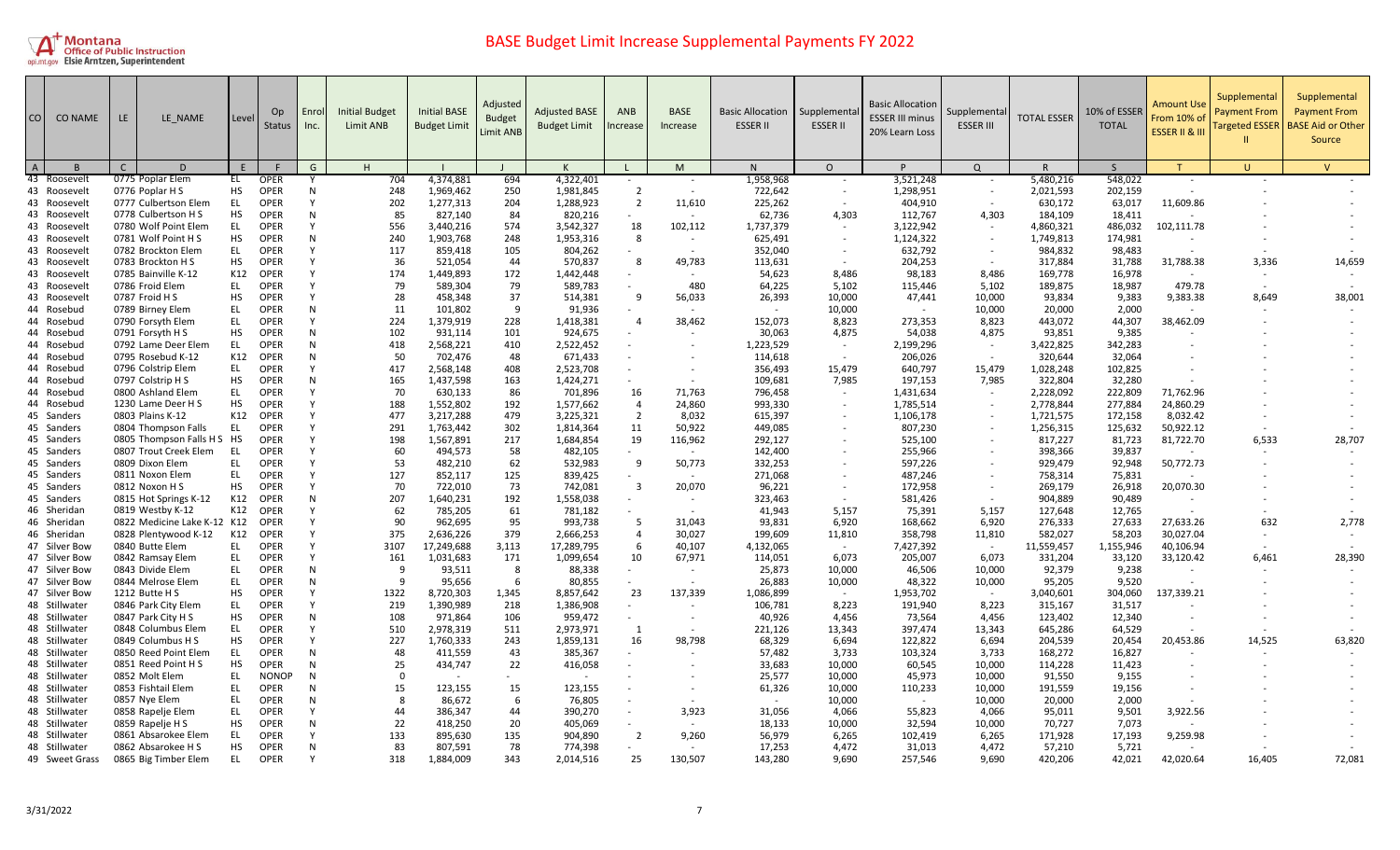

| CO             | <b>CO NAME</b>                 | LE NAME<br>LE.                            |           | Level | Op<br><b>Status</b>        | Enrol<br>Inc. | <b>Initial Budget</b><br>Limit ANB | <b>Initial BASE</b><br><b>Budget Limit</b> | Adjusted<br><b>Budget</b><br><b>Limit ANB</b> | <b>Adjusted BASE</b><br><b>Budget Limit</b> | ANB<br>ncrease           | <b>BASE</b><br>Increase | <b>Basic Allocation</b><br><b>ESSER II</b> | Supplementa<br><b>ESSER II</b> | <b>Basic Allocation</b><br><b>ESSER III minus</b><br>20% Learn Loss | Supplementa<br><b>ESSER III</b> | <b>TOTAL ESSER</b>   | 10% of ESSER<br><b>TOTAL</b> | <b>Amount Use</b><br>From 10% of<br><b>ESSER II &amp; II</b> | Supplemental<br><b>Payment From</b><br><b>Targeted ESSER</b> | Supplemental<br><b>Payment From</b><br><b>BASE Aid or Other</b><br>Source |
|----------------|--------------------------------|-------------------------------------------|-----------|-------|----------------------------|---------------|------------------------------------|--------------------------------------------|-----------------------------------------------|---------------------------------------------|--------------------------|-------------------------|--------------------------------------------|--------------------------------|---------------------------------------------------------------------|---------------------------------|----------------------|------------------------------|--------------------------------------------------------------|--------------------------------------------------------------|---------------------------------------------------------------------------|
| $\overline{A}$ |                                | $\mathsf{C}$<br>D                         | E         |       |                            | G             | H                                  |                                            |                                               |                                             |                          | M                       | N                                          | $\circ$                        | D                                                                   | Q                               | R                    | S                            | T                                                            | $\cup$                                                       | $\vee$                                                                    |
|                | 43 Roosevel                    | 0775 Poplar Elem                          | EL        |       | <b>OPER</b><br><b>OPER</b> | $\mathsf{N}$  | 704<br>248                         | 4,374,881                                  | 694                                           | 4,322,401                                   | $\sim$<br>$\overline{2}$ |                         | 1,958,968                                  |                                | 3,521,248                                                           |                                 | 5,480,216            | 548,022                      | $\sim$                                                       |                                                              |                                                                           |
|                | 43 Roosevelt                   | 0776 Poplar H S<br>0777 Culbertson Elem   | HS<br>EL  |       | <b>OPER</b>                | Y             | 202                                | 1,969,462<br>1,277,313                     | 250<br>204                                    | 1,981,845<br>1,288,923                      | $\overline{2}$           | 11,610                  | 722,642<br>225,262                         | $\sim$                         | 1,298,951<br>404,910                                                | $\sim$                          | 2,021,593<br>630,172 | 202,159<br>63,017            | 11,609.86                                                    |                                                              |                                                                           |
|                | 43 Roosevelt<br>43 Roosevel    | 0778 Culbertson H S                       | <b>HS</b> |       | <b>OPER</b>                | N             | 85                                 | 827,140                                    | 84                                            | 820,216                                     |                          |                         | 62,736                                     | 4,303                          | 112,767                                                             | 4,303                           | 184,109              | 18,411                       |                                                              |                                                              |                                                                           |
|                | 43 Roosevelt                   | 0780 Wolf Point Elem                      | EL.       |       | <b>OPER</b>                | Y             | 556                                | 3,440,216                                  | 574                                           | 3,542,327                                   | 18                       | 102,112                 | 1,737,379                                  |                                | 3,122,942                                                           |                                 | 4,860,321            | 486,032                      | 102,111.78                                                   |                                                              |                                                                           |
|                | 43 Roosevelt                   | 0781 Wolf Point H S                       | HS        |       | <b>OPER</b>                | N             | 240                                | 1,903,768                                  | 248                                           | 1,953,316                                   | 8                        | $\sim$                  | 625,491                                    | $\sim$                         | 1,124,322                                                           | $\overline{\phantom{a}}$        | 1,749,813            | 174,981                      |                                                              |                                                              |                                                                           |
|                | 43 Roosevelt                   | 0782 Brockton Elem                        | EL        |       | <b>OPER</b>                |               | 117                                | 859,418                                    | 105                                           | 804,262                                     | $\sim$                   | $\sim$                  | 352,040                                    | $\sim$                         | 632,792                                                             | $\sim$                          | 984,832              | 98,483                       |                                                              |                                                              |                                                                           |
|                | 43 Roosevelt                   | 0783 Brockton H S                         | HS.       |       | <b>OPER</b>                | Y             | 36                                 | 521,054                                    | 44                                            | 570.837                                     | 8                        | 49,783                  | 113,631                                    |                                | 204,253                                                             |                                 | 317,884              | 31,788                       | 31,788.38                                                    | 3,336                                                        | 14,659                                                                    |
|                | 43 Roosevelt                   | 0785 Bainville K-12                       | K12       |       | <b>OPER</b>                | N             | 174                                | 1,449,893                                  | 172                                           | 1,442,448                                   | $\sim$                   |                         | 54,623                                     | 8,486                          | 98,183                                                              | 8,486                           | 169,778              | 16,978                       |                                                              | $\overline{\phantom{a}}$                                     |                                                                           |
|                | 43 Roosevelt                   | 0786 Froid Elem                           | EL        |       | <b>OPER</b>                | Y             | 79                                 | 589,304                                    | 79                                            | 589,783                                     |                          | 480                     | 64,225                                     | 5,102                          | 115,446                                                             | 5,102                           | 189,875              | 18,987                       | 479.78                                                       |                                                              |                                                                           |
|                | 43 Roosevelt                   | 0787 Froid H S                            | НS        |       | <b>OPER</b>                | N             | 28                                 | 458,348                                    | 37                                            | 514,381                                     | 9                        | 56,033                  | 26,393                                     | 10,000                         | 47,441                                                              | 10,000                          | 93,834               | 9,383                        | 9,383.38                                                     | 8,649                                                        | 38,001                                                                    |
|                | 44 Rosebud                     | 0789 Birney Elem                          | EL        |       | <b>OPER</b>                | N             | 11                                 | 101,802                                    | 9                                             | 91,936                                      |                          |                         |                                            | 10,000                         |                                                                     | 10,000                          | 20,000               | 2,000                        |                                                              |                                                              |                                                                           |
|                | 44 Rosebud                     | 0790 Forsyth Elem                         | EL        |       | <b>OPER</b>                | Y             | 224                                | 1,379,919                                  | 228                                           | 1,418,381                                   | $\overline{4}$           | 38,462                  | 152,073                                    | 8,823                          | 273,353                                                             | 8,823                           | 443,072              | 44,307                       | 38,462.09                                                    |                                                              |                                                                           |
|                | 44 Rosebud                     | 0791 Forsyth H S                          | HS        |       | <b>OPER</b>                | N             | 102                                | 931,114                                    | 101                                           | 924,675                                     |                          |                         | 30,063                                     | 4,875                          | 54,038                                                              | 4,875                           | 93,851               | 9,385                        |                                                              |                                                              |                                                                           |
|                | 44 Rosebud                     | 0792 Lame Deer Elem                       | EL        |       | <b>OPER</b>                | N             | 418                                | 2,568,221                                  | 410                                           | 2,522,452                                   | $\sim$                   |                         | 1,223,529                                  | $\sim$                         | 2,199,296                                                           | $\sim$                          | 3,422,825            | 342,283                      |                                                              |                                                              |                                                                           |
|                | 44 Rosebud                     | 0795 Rosebud K-12                         | K12       |       | <b>OPER</b>                | N             | 50                                 | 702,476                                    | 48                                            | 671,433                                     |                          |                         | 114,618                                    |                                | 206,026                                                             |                                 | 320,644              | 32,064                       |                                                              |                                                              |                                                                           |
|                | 44 Rosebud                     | 0796 Colstrip Elem                        | EL.       |       | <b>OPER</b>                |               | 417                                | 2,568,148                                  | 408                                           | 2,523,708                                   |                          |                         | 356,493                                    | 15,479                         | 640,797                                                             | 15,479                          | 1,028,248            | 102,825                      |                                                              |                                                              |                                                                           |
|                | 44 Rosebud                     | 0797 Colstrip H S                         | HS        |       | OPER                       | N             | 165                                | 1,437,598                                  | 163                                           | 1,424,271                                   |                          |                         | 109,681                                    | 7,985                          | 197,153                                                             | 7,985                           | 322,804              | 32,280                       |                                                              |                                                              |                                                                           |
|                | 44 Rosebud                     | 0800 Ashland Elem                         | EL        |       | <b>OPER</b>                |               | 70                                 | 630,133                                    | 86                                            | 701,896                                     | 16                       | 71,763                  | 796,458                                    | $\sim$                         | 1,431,634                                                           | $\sim$                          | 2,228,092            | 222,809                      | 71,762.96                                                    |                                                              |                                                                           |
|                | 44 Rosebud                     | 1230 Lame Deer H S                        | HS        |       | <b>OPER</b>                | Y             | 188                                | 1,552,802                                  | 192                                           | 1,577,662                                   | $\overline{4}$           | 24,860                  | 993,330                                    |                                | 1,785,514                                                           |                                 | 2,778,844            | 277,884                      | 24,860.29                                                    |                                                              |                                                                           |
|                | 45 Sanders                     | 0803 Plains K-12                          | K12       |       | <b>OPER</b>                |               | 477                                | 3,217,288                                  | 479                                           | 3,225,321                                   | $\overline{2}$           | 8,032                   | 615,397                                    |                                | 1,106,178                                                           | $\overline{\phantom{a}}$        | 1,721,575            | 172,158                      | 8,032.42                                                     |                                                              |                                                                           |
|                | 45 Sanders                     | 0804 Thompson Falls                       | EL        |       | <b>OPER</b>                |               | 291                                | 1,763,442                                  | 302                                           | 1,814,364                                   | 11                       | 50,922                  | 449,085                                    |                                | 807,230                                                             | $\overline{\phantom{a}}$        | 1,256,315            | 125,632                      | 50,922.12                                                    |                                                              |                                                                           |
|                | 45 Sanders                     | 0805 Thompson Falls H S HS                |           |       | <b>OPER</b>                | N             | 198                                | 1,567,891                                  | 217                                           | 1,684,854                                   | 19                       | 116,962                 | 292,127                                    |                                | 525,100                                                             |                                 | 817,227              | 81,723                       | 81,722.70                                                    | 6,533                                                        | 28,707                                                                    |
|                | 45 Sanders<br>45 Sanders       | 0807 Trout Creek Elem<br>0809 Dixon Elem  | EL<br>EL  |       | <b>OPER</b><br><b>OPER</b> |               | 60<br>53                           | 494,573<br>482,210                         | 58<br>62                                      | 482,105<br>532,983                          | 9                        | 50,773                  | 142,400<br>332,253                         |                                | 255,966<br>597,226                                                  | $\overline{\phantom{a}}$        | 398,366<br>929,479   | 39,837<br>92,948             | 50,772.73                                                    |                                                              |                                                                           |
|                | 45 Sanders                     | 0811 Noxon Elem                           | EL        |       | <b>OPER</b>                | v             | 127                                | 852,117                                    | 125                                           | 839,425                                     | $\sim$                   | $\sim$                  | 271,068                                    |                                | 487,246                                                             | $\overline{\phantom{a}}$        | 758,314              | 75,831                       |                                                              |                                                              |                                                                           |
|                | 45 Sanders                     | 0812 Noxon H S                            | нs        |       | <b>OPER</b>                | Y             | 70                                 | 722,010                                    | 73                                            | 742,081                                     | $\overline{3}$           | 20,070                  | 96,221                                     |                                | 172,958                                                             |                                 | 269,179              | 26,918                       | 20,070.30                                                    |                                                              |                                                                           |
|                | 45 Sanders                     | 0815 Hot Springs K-12                     | K12       |       | <b>OPER</b>                | N             | 207                                | 1,640,231                                  | 192                                           | 1,558,038                                   |                          | $\sim$                  | 323,463                                    |                                | 581,426                                                             | $\sim$                          | 904,889              | 90,489                       |                                                              |                                                              |                                                                           |
|                | 46 Sheridan                    | 0819 Westby K-12                          | K12       |       | <b>OPER</b>                |               | 62                                 | 785,205                                    | 61                                            | 781,182                                     |                          |                         | 41,943                                     | 5,157                          | 75,391                                                              | 5,157                           | 127,648              | 12,765                       |                                                              |                                                              |                                                                           |
|                | 46 Sheridan                    | 0822 Medicine Lake K-12 K12               |           |       | <b>OPER</b>                |               | 90                                 | 962,695                                    | 95                                            | 993,738                                     | -5                       | 31,043                  | 93,831                                     | 6,920                          | 168,662                                                             | 6,920                           | 276,333              | 27,633                       | 27,633.26                                                    | 632                                                          | 2,778                                                                     |
|                | 46 Sheridan                    | 0828 Plentywood K-12                      | K12       |       | <b>OPER</b>                | Y             | 375                                | 2,636,226                                  | 379                                           | 2,666,253                                   | $\overline{4}$           | 30,027                  | 199,609                                    | 11,810                         | 358,798                                                             | 11,810                          | 582,027              | 58,203                       | 30,027.04                                                    |                                                              |                                                                           |
|                | 47 Silver Bow                  | 0840 Butte Elem                           | EL.       |       | OPER                       |               | 3107                               | 17,249,688                                 | 3,113                                         | 17,289,795                                  | 6                        | 40,107                  | 4,132,065                                  | $\sim$                         | 7,427,392                                                           | $\sim$                          | 11,559,457           | 1,155,946                    | 40,106.94                                                    |                                                              |                                                                           |
|                | 47 Silver Bow                  | 0842 Ramsay Elem                          | EL        |       | <b>OPER</b>                | N             | 161                                | 1,031,683                                  | 171                                           | 1,099,654                                   | 10                       | 67,971                  | 114,051                                    | 6,073                          | 205,007                                                             | 6,073                           | 331,204              | 33,120                       | 33,120.42                                                    | 6,461                                                        | 28,390                                                                    |
|                | 47 Silver Bow                  | 0843 Divide Elem                          | EL        |       | <b>OPER</b>                | N             | 9                                  | 93,511                                     | 8                                             | 88,338                                      |                          |                         | 25,873                                     | 10,000                         | 46,506                                                              | 10,000                          | 92,379               | 9,238                        |                                                              |                                                              |                                                                           |
|                | 47 Silver Bow                  | 0844 Melrose Elem                         | EL        |       | <b>OPER</b>                | N             | -9                                 | 95,656                                     | -6                                            | 80,855                                      |                          |                         | 26,883                                     | 10,000                         | 48,322                                                              | 10,000                          | 95,205               | 9,520                        |                                                              |                                                              |                                                                           |
|                | 47 Silver Bow                  | 1212 Butte H S                            | HS        |       | <b>OPER</b>                | Y             | 1322                               | 8,720,303                                  | 1,345                                         | 8,857,642                                   | 23                       | 137,339                 | 1,086,899                                  | $\sim$                         | 1,953,702                                                           | $\sim$                          | 3,040,601            | 304,060                      | 137,339.21                                                   |                                                              |                                                                           |
|                | 48 Stillwater                  | 0846 Park City Elem                       | EL        |       | <b>OPER</b>                | Y             | 219                                | 1,390,989                                  | 218                                           | 1,386,908                                   | $\sim$                   |                         | 106,781                                    | 8,223                          | 191,940                                                             | 8,223                           | 315,167              | 31,517                       |                                                              |                                                              |                                                                           |
|                | 48 Stillwater                  | 0847 Park City H S                        | НS        |       | <b>OPER</b>                | N             | 108                                | 971,864                                    | 106                                           | 959,472                                     | $\sim$                   |                         | 40,926                                     | 4,456                          | 73,564                                                              | 4,456                           | 123,402              | 12,340                       |                                                              |                                                              |                                                                           |
|                | 48 Stillwater                  | 0848 Columbus Elem                        | EL        |       | <b>OPER</b>                | N             | 510                                | 2,978,319                                  | 511                                           | 2,973,971                                   | $\overline{1}$           |                         | 221,126                                    | 13,343                         | 397,474                                                             | 13,343                          | 645,286              | 64,529                       |                                                              |                                                              |                                                                           |
|                | 48 Stillwater                  | 0849 Columbus H S                         | HS        |       | <b>OPER</b>                | Y             | 227                                | 1,760,333                                  | 243                                           | 1,859,131                                   | 16                       | 98,798                  | 68,329                                     | 6,694                          | 122,822                                                             | 6,694                           | 204,539              | 20,454                       | 20,453.86                                                    | 14,525                                                       | 63,820                                                                    |
|                | 48 Stillwater                  | 0850 Reed Point Elem                      | EL        |       | <b>OPER</b>                | N             | 48                                 | 411,559                                    | 43                                            | 385,367                                     |                          |                         | 57,482                                     | 3,733                          | 103,324                                                             | 3,733                           | 168,272              | 16,827                       | $\sim$                                                       |                                                              |                                                                           |
|                | 48 Stillwater                  | 0851 Reed Point H S                       | HS        |       | <b>OPER</b>                | N             | 25                                 | 434,747                                    | 22                                            | 416,058                                     |                          |                         | 33,683                                     | 10,000                         | 60,545                                                              | 10,000                          | 114,228              | 11,423                       |                                                              |                                                              |                                                                           |
|                | 48 Stillwater                  | 0852 Molt Elem                            | EL        |       | <b>NONOP</b>               | N             | $\Omega$                           |                                            |                                               |                                             |                          |                         | 25,577                                     | 10,000                         | 45,973                                                              | 10,000                          | 91,550               | 9,155                        |                                                              |                                                              |                                                                           |
|                | 48 Stillwater                  | 0853 Fishtail Elem                        | EL        |       | <b>OPER</b>                | N             | 15                                 | 123,155                                    | 15                                            | 123,155                                     |                          |                         | 61,326                                     | 10,000                         | 110,233                                                             | 10,000                          | 191,559              | 19,156                       |                                                              |                                                              |                                                                           |
|                | 48 Stillwater                  | 0857 Nye Elem                             | EL        |       | <b>OPER</b>                | N             | - 8                                | 86,672                                     | 6                                             | 76,805                                      |                          |                         | $\sim$                                     | 10,000                         | $\sim$                                                              | 10,000                          | 20,000               | 2,000                        |                                                              |                                                              |                                                                           |
|                | 48 Stillwater                  | 0858 Rapelje Elem                         | EL        |       | <b>OPER</b>                |               | 44                                 | 386,347                                    | 44                                            | 390,270                                     |                          | 3,923                   | 31,056                                     | 4,066                          | 55,823                                                              | 4,066                           | 95,011               | 9,501                        | 3,922.56                                                     |                                                              |                                                                           |
|                | 48 Stillwater                  | 0859 Rapelje H S                          | HS<br>EL  |       | <b>OPER</b>                | N             | 22                                 | 418,250                                    | 20                                            | 405,069                                     |                          |                         | 18,133                                     | 10,000                         | 32,594                                                              | 10,000                          | 70,727               | 7,073                        |                                                              |                                                              |                                                                           |
|                | 48 Stillwater<br>48 Stillwater | 0861 Absarokee Elem<br>0862 Absarokee H S | HS        |       | <b>OPER</b><br><b>OPER</b> | N             | 133<br>83                          | 895.630<br>807,591                         | 135<br>78                                     | 904.890<br>774,398                          | $\overline{2}$           | 9,260                   | 56,979<br>17,253                           | 6,265<br>4,472                 | 102,419<br>31,013                                                   | 6,265<br>4,472                  | 171.928<br>57,210    | 17.193<br>5,721              | 9,259.98<br>$\sim$                                           |                                                              |                                                                           |
|                | 49 Sweet Grass                 | 0865 Big Timber Elem                      | EL        |       | <b>OPER</b>                |               | 318                                |                                            | 343                                           | 2,014,516                                   | 25                       | 130,507                 | 143,280                                    | 9.690                          | 257,546                                                             | 9,690                           | 420,206              | 42,021                       | 42,020.64                                                    | 16.405                                                       | 72,081                                                                    |
|                |                                |                                           |           |       |                            |               |                                    | 1,884,009                                  |                                               |                                             |                          |                         |                                            |                                |                                                                     |                                 |                      |                              |                                                              |                                                              |                                                                           |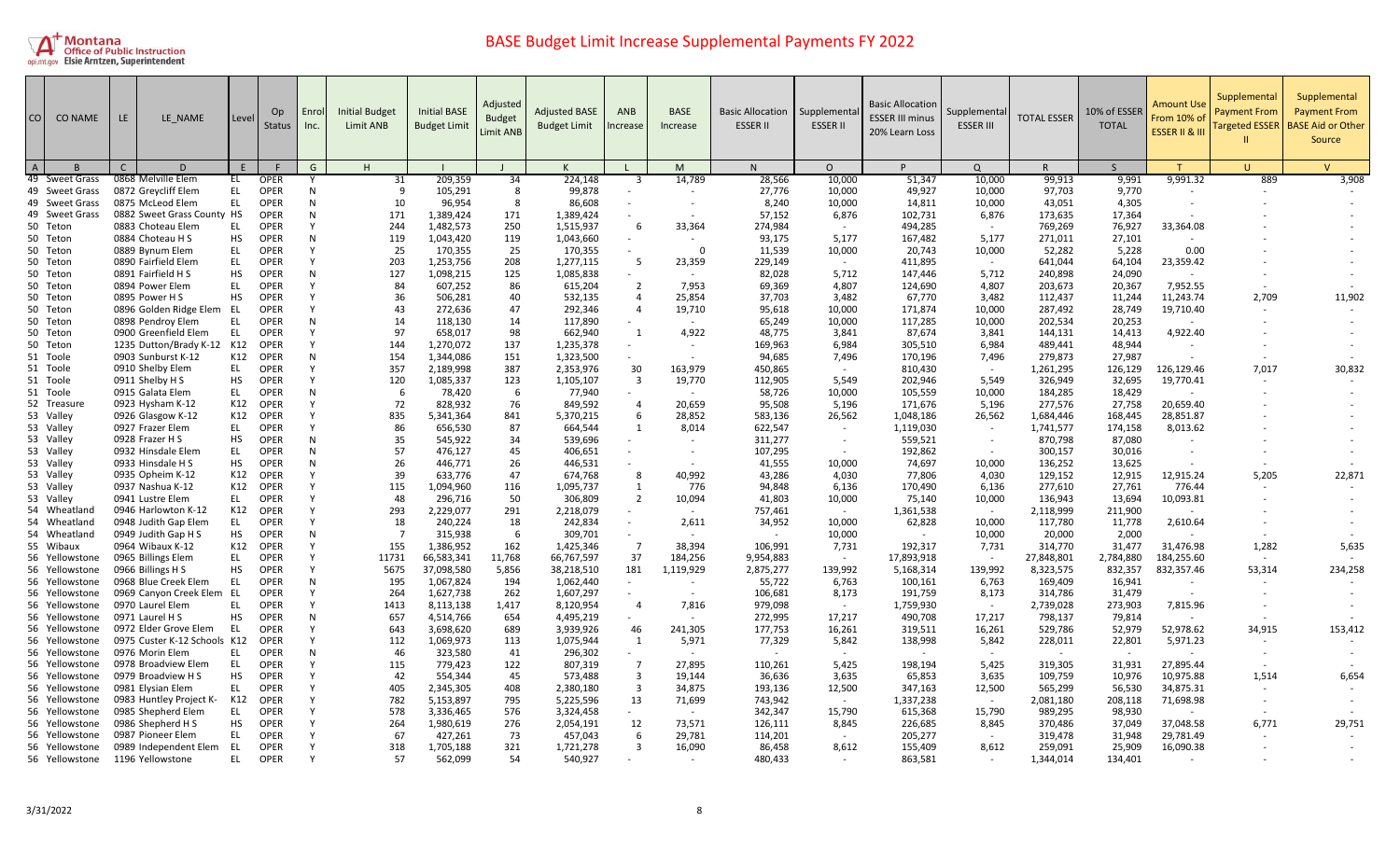

| <b>CO</b>      | <b>CO NAME</b>                   | LE. | LE NAME                                      | Level            | Op<br><b>Status</b>        | Enrol<br>Inc. | <b>Initial Budget</b><br>Limit ANB | <b>Initial BASE</b><br><b>Budget Limit</b> | Adjusted<br><b>Budget</b><br>Limit ANB | <b>Adjusted BASE</b><br><b>Budget Limit</b> | ANB<br>ncrease                   | <b>BASE</b><br>Increase  | <b>Basic Allocation</b><br><b>ESSER II</b> | Supplementa<br><b>ESSER II</b> | <b>Basic Allocation</b><br><b>ESSER III minus</b><br>20% Learn Loss | Supplementa<br><b>ESSER III</b> | <b>TOTAL ESSER</b>   | 10% of ESSER<br><b>TOTAL</b> | Amount Use<br>From 10% of<br><b>ESSER II &amp; III</b> | Supplemental<br><b>Payment From</b><br><b>Targeted ESSER</b> | Supplemental<br><b>Payment From</b><br><b>BASE Aid or Other</b><br>Source |
|----------------|----------------------------------|-----|----------------------------------------------|------------------|----------------------------|---------------|------------------------------------|--------------------------------------------|----------------------------------------|---------------------------------------------|----------------------------------|--------------------------|--------------------------------------------|--------------------------------|---------------------------------------------------------------------|---------------------------------|----------------------|------------------------------|--------------------------------------------------------|--------------------------------------------------------------|---------------------------------------------------------------------------|
| $\overline{A}$ |                                  | C   | D                                            | F                |                            | G             | H                                  |                                            |                                        |                                             |                                  | M                        | N                                          | $\Omega$                       | P                                                                   | $\Omega$                        | R.                   | $\varsigma$                  |                                                        | $\mathbf{H}$                                                 | $\mathsf{V}$                                                              |
|                | 49 Sweet Grass                   |     | 0868 Melville Elem                           | EL               | OPER                       |               | 31                                 | 209,359                                    | 34                                     | 224,148                                     | -3                               | 14,789                   | 28,566                                     | 10,000                         | 51,347                                                              | 10,000                          | 99,913               | 9,991                        | 9,991.32                                               | 889                                                          | 3,908                                                                     |
|                | 49 Sweet Grass                   |     | 0872 Greycliff Elem                          | <b>EL</b>        | <b>OPER</b>                | N             | 9                                  | 105,291                                    | 8                                      | 99,878                                      |                                  |                          | 27,776                                     | 10,000                         | 49,927                                                              | 10,000                          | 97,703               | 9,770                        |                                                        |                                                              |                                                                           |
|                | 49 Sweet Grass                   |     | 0875 McLeod Elem                             | EL               | <b>OPER</b>                | N             | 10                                 | 96,954                                     | -8                                     | 86,608                                      |                                  |                          | 8,240                                      | 10,000                         | 14,811                                                              | 10,000                          | 43,051               | 4,305                        |                                                        |                                                              |                                                                           |
|                | 49 Sweet Grass                   |     | 0882 Sweet Grass County HS                   |                  | <b>OPER</b>                | N             | 171                                | 1,389,424                                  | 171                                    | 1,389,424                                   |                                  |                          | 57.152                                     | 6,876                          | 102,731                                                             | 6,876                           | 173,635              | 17,364                       |                                                        |                                                              |                                                                           |
|                | 50 Teton                         |     | 0883 Choteau Elem                            | EL.              | <b>OPER</b>                | Y             | 244                                | 1,482,573                                  | 250                                    | 1,515,937                                   | -6                               | 33,364                   | 274,984                                    | $\sim$                         | 494,285                                                             | $\sim$                          | 769,269              | 76,927                       | 33,364.08                                              |                                                              |                                                                           |
|                | 50 Teton                         |     | 0884 Choteau H S                             | <b>HS</b>        | <b>OPER</b>                | N             | 119                                | 1,043,420                                  | 119                                    | 1,043,660                                   |                                  | $\sim$                   | 93,175                                     | 5,177                          | 167,482                                                             | 5,177                           | 271,011              | 27,101                       |                                                        |                                                              |                                                                           |
|                | 50 Teton                         |     | 0889 Bynum Elem                              | EL               | <b>OPER</b>                | Υ             | 25                                 | 170,355                                    | 25                                     | 170,355                                     |                                  | $\Omega$                 | 11,539                                     | 10,000                         | 20,743                                                              | 10,000                          | 52,282               | 5,228                        | 0.00                                                   |                                                              |                                                                           |
|                | 50 Teton                         |     | 0890 Fairfield Elem                          | EL.              | <b>OPER</b>                | Y<br>N        | 203                                | 1,253,756                                  | 208                                    | 1,277,115                                   | -5                               | 23,359<br>$\sim$         | 229.149                                    | $\sim$                         | 411.895                                                             | $\sim$                          | 641,044              | 64,104                       | 23,359.42                                              |                                                              |                                                                           |
|                | 50 Teton                         |     | 0891 Fairfield H S                           | HS<br>EL.        | <b>OPER</b><br>OPER        | Υ             | 127                                | 1,098,215                                  | 125                                    | 1,085,838                                   | $\overline{2}$                   | 7,953                    | 82,028<br>69,369                           | 5,712                          | 147,446                                                             | 5,712                           | 240,898              | 24,090                       | 7,952.55                                               |                                                              |                                                                           |
|                | 50 Teton<br>50 Teton             |     | 0894 Power Elem<br>0895 Power H S            | <b>HS</b>        | OPER                       | v             | 84<br>36                           | 607,252<br>506,281                         | 86<br>40                               | 615,204<br>532,135                          | $\overline{a}$                   | 25,854                   | 37,703                                     | 4,807<br>3,482                 | 124,690<br>67,770                                                   | 4,807<br>3,482                  | 203,673<br>112,437   | 20,367<br>11,244             | 11,243.74                                              | 2,709                                                        | 11,902                                                                    |
|                | 50 Teton                         |     | 0896 Golden Ridge Elem                       | EL               | OPER                       | Y             | 43                                 | 272,636                                    | 47                                     | 292,346                                     | $\overline{4}$                   | 19,710                   | 95,618                                     | 10,000                         | 171,874                                                             | 10,000                          | 287,492              | 28,749                       | 19,710.40                                              |                                                              |                                                                           |
|                | 50 Teton                         |     | 0898 Pendroy Elem                            | EL               | <b>OPER</b>                | N             | 14                                 | 118,130                                    | 14                                     | 117,890                                     |                                  | $\sim$                   | 65,249                                     | 10,000                         | 117,285                                                             | 10,000                          | 202,534              | 20,253                       |                                                        |                                                              |                                                                           |
|                | 50 Teton                         |     | 0900 Greenfield Elem                         | EL               | <b>OPER</b>                |               | 97                                 | 658,017                                    | 98                                     | 662,940                                     | -1                               | 4,922                    | 48,775                                     | 3,841                          | 87,674                                                              | 3,841                           | 144,131              | 14,413                       | 4,922.40                                               |                                                              |                                                                           |
|                | 50 Teton                         |     | 1235 Dutton/Brady K-12                       | K12              | OPER                       | Y             | 144                                | 1.270.072                                  | 137                                    | 1.235.378                                   |                                  |                          | 169.963                                    | 6.984                          | 305.510                                                             | 6.984                           | 489.441              | 48.944                       |                                                        |                                                              |                                                                           |
|                | 51 Toole                         |     | 0903 Sunburst K-12                           | K12              | <b>OPER</b>                | N             | 154                                | 1,344,086                                  | 151                                    | 1,323,500                                   |                                  |                          | 94,685                                     | 7,496                          | 170,196                                                             | 7,496                           | 279,873              | 27,987                       |                                                        |                                                              |                                                                           |
|                | 51 Toole                         |     | 0910 Shelby Elem                             | EL.              | <b>OPER</b>                | Υ             | 357                                | 2,189,998                                  | 387                                    | 2,353,976                                   | 30                               | 163,979                  | 450,865                                    |                                | 810,430                                                             |                                 | 1,261,295            | 126,129                      | 126,129.46                                             | 7,017                                                        | 30,832                                                                    |
|                | 51 Toole                         |     | 0911 Shelby H S                              | <b>HS</b>        | <b>OPER</b>                | v             | 120                                | 1,085,337                                  | 123                                    | 1,105,107                                   | $\overline{\mathbf{3}}$          | 19,770                   | 112,905                                    | 5,549                          | 202,946                                                             | 5,549                           | 326,949              | 32,695                       | 19,770.41                                              |                                                              |                                                                           |
|                | 51 Toole                         |     | 0915 Galata Elem                             | EL               | <b>OPER</b>                | N             | -6                                 | 78,420                                     | - 6                                    | 77,940                                      |                                  |                          | 58,726                                     | 10,000                         | 105,559                                                             | 10,000                          | 184,285              | 18,429                       |                                                        |                                                              |                                                                           |
|                | 52 Treasure                      |     | 0923 Hysham K-12                             | K12              | <b>OPER</b>                | v             | 72                                 | 828,932                                    | 76                                     | 849,592                                     | $\overline{4}$                   | 20,659                   | 95,508                                     | 5,196                          | 171,676                                                             | 5,196                           | 277,576              | 27,758                       | 20,659.40                                              |                                                              |                                                                           |
|                | 53 Valley                        |     | 0926 Glasgow K-12                            | K12              | <b>OPER</b>                | Υ             | 835                                | 5,341,364                                  | 841                                    | 5,370,215                                   | 6                                | 28,852                   | 583,136                                    | 26,562                         | 1,048,186                                                           | 26,562                          | 1,684,446            | 168,445                      | 28,851.87                                              |                                                              |                                                                           |
|                | 53 Valley                        |     | 0927 Frazer Elem                             | EL.              | OPER                       | Y             | 86                                 | 656,530                                    | 87                                     | 664,544                                     | 1                                | 8,014                    | 622,547                                    | $\sim$                         | 1,119,030                                                           |                                 | 1,741,577            | 174,158                      | 8,013.62                                               |                                                              |                                                                           |
|                | 53 Valley                        |     | 0928 Frazer H S                              | HS               | <b>OPER</b>                | N             | 35                                 | 545,922                                    | 34                                     | 539,696                                     |                                  |                          | 311,277                                    |                                | 559,521                                                             |                                 | 870,798              | 87,080                       |                                                        |                                                              |                                                                           |
|                | 53 Valley                        |     | 0932 Hinsdale Elem                           | <b>EL</b>        | OPER                       | N             | 57                                 | 476,127                                    | 45                                     | 406,651                                     |                                  | $\overline{\phantom{a}}$ | 107,295                                    | $\sim$                         | 192,862                                                             |                                 | 300,157              | 30,016                       | $\overline{\phantom{a}}$                               |                                                              |                                                                           |
|                | 53 Valley                        |     | 0933 Hinsdale H S                            | <b>HS</b>        | <b>OPER</b>                | N             | 26                                 | 446,771                                    | 26                                     | 446,531                                     |                                  |                          | 41,555                                     | 10,000                         | 74,697                                                              | 10,000                          | 136,252              | 13,625                       |                                                        |                                                              |                                                                           |
|                | 53 Valley                        |     | 0935 Opheim K-12                             | K12              | <b>OPER</b>                | Y             | 39                                 | 633,776                                    | 47                                     | 674,768                                     | -8                               | 40,992                   | 43,286                                     | 4,030                          | 77,806                                                              | 4,030                           | 129,152              | 12,915                       | 12,915.24                                              | 5,205                                                        | 22,871                                                                    |
|                | 53 Valley                        |     | 0937 Nashua K-12                             | K12              | <b>OPER</b>                | Y             | 115                                | 1,094,960                                  | 116                                    | 1,095,737                                   | 1                                | 776                      | 94,848                                     | 6,136                          | 170,490                                                             | 6,136                           | 277,610              | 27,761                       | 776.44                                                 | $\sim$                                                       |                                                                           |
|                | 53 Valley                        |     | 0941 Lustre Elem                             | EL               | <b>OPER</b>                | v             | 48                                 | 296,716                                    | 50                                     | 306,809                                     | $\overline{2}$                   | 10,094                   | 41,803                                     | 10,000                         | 75,140                                                              | 10,000                          | 136,943              | 13,694                       | 10,093.81                                              |                                                              |                                                                           |
|                | 54 Wheatland                     |     | 0946 Harlowton K-12                          | K12              | <b>OPER</b>                |               | 293                                | 2,229,077                                  | 291                                    | 2,218,079                                   |                                  | $\sim$                   | 757,461                                    | $\sim$                         | 1,361,538                                                           | $\sim$                          | 2,118,999            | 211,900                      |                                                        |                                                              |                                                                           |
|                | 54 Wheatland                     |     | 0948 Judith Gap Elem                         | EL.              | OPER                       |               | 18                                 | 240,224                                    | 18                                     | 242,834                                     |                                  | 2,611                    | 34,952                                     | 10,000                         | 62,828                                                              | 10,000                          | 117,780              | 11,778                       | 2,610.64                                               |                                                              |                                                                           |
|                | 54 Wheatland                     |     | 0949 Judith Gap H S                          | <b>HS</b>        | <b>OPER</b>                | N             | $\overline{7}$                     | 315,938                                    | 6                                      | 309,701                                     |                                  | $\sim$                   |                                            | 10,000                         | $\sim$                                                              | 10,000                          | 20,000               | 2,000                        |                                                        |                                                              |                                                                           |
|                | 55 Wibaux                        |     | 0964 Wibaux K-12                             | K12              | <b>OPER</b>                | Υ             | 155                                | 1,386,952                                  | 162                                    | 1,425,346                                   | $\overline{7}$                   | 38,394                   | 106,991                                    | 7,731                          | 192,317                                                             | 7,731                           | 314,770              | 31,477                       | 31,476.98                                              | 1,282                                                        | 5,635                                                                     |
|                | 56 Yellowstone                   |     | 0965 Billings Elem                           | EL.              | OPER                       | Y             | 11731                              | 66,583,341                                 | 11,768                                 | 66,767,597                                  | 37                               | 184,256                  | 9,954,883                                  | $\sim$                         | 17,893,918                                                          |                                 | 27,848,801           | 2,784,880                    | 184,255.60                                             |                                                              |                                                                           |
|                | 56 Yellowstone                   |     | 0966 Billings H S                            | HS               | <b>OPER</b>                | Y             | 5675                               | 37,098,580                                 | 5,856                                  | 38,218,510                                  | 181                              | 1,119,929                | 2,875,277                                  | 139,992                        | 5,168,314                                                           | 139,992                         | 8,323,575            | 832,357                      | 832,357.46                                             | 53,314                                                       | 234,258                                                                   |
|                | 56 Yellowstone                   |     | 0968 Blue Creek Elem                         | EL               | <b>OPER</b>                | N             | 195                                | 1,067,824                                  | 194                                    | 1,062,440                                   |                                  |                          | 55,722                                     | 6,763                          | 100,161                                                             | 6,763                           | 169,409              | 16,941                       |                                                        |                                                              |                                                                           |
|                | 56 Yellowstone                   |     | 0969 Canyon Creek Elem                       | -EL              | OPER                       | v             | 264                                | 1,627,738                                  | 262                                    | 1,607,297                                   |                                  | $\sim$                   | 106,681                                    | 8,173                          | 191,759                                                             | 8,173                           | 314,786              | 31,479                       |                                                        |                                                              |                                                                           |
|                | 56 Yellowstone                   |     | 0970 Laurel Elem                             | EL               | <b>OPER</b>                | v             | 1413                               | 8,113,138                                  | 1,417                                  | 8,120,954                                   | $\overline{a}$                   | 7,816                    | 979,098                                    |                                | 1,759,930                                                           |                                 | 2,739,028            | 273,903                      | 7,815.96                                               |                                                              |                                                                           |
|                | 56 Yellowstone                   |     | 0971 Laurel H S                              | <b>HS</b>        | <b>OPER</b>                | N             | 657                                | 4,514,766                                  | 654                                    | 4,495,219                                   | $\sim$                           | $\sim$                   | 272,995                                    | 17,217                         | 490,708                                                             | 17,217                          | 798,137              | 79,814                       | $\sim$                                                 |                                                              |                                                                           |
|                | 56 Yellowstone                   |     | 0972 Elder Grove Elem                        | EL               | <b>OPER</b>                | Υ             | 643                                | 3,698,620                                  | 689                                    | 3,939,926                                   | 46                               | 241,305                  | 177,753                                    | 16,261                         | 319,511                                                             | 16,261                          | 529,786              | 52,979                       | 52,978.62                                              | 34,915                                                       | 153,412                                                                   |
|                | 56 Yellowstone                   |     | 0975 Custer K-12 Schools K12                 |                  | OPER                       |               | 112                                | 1,069,973                                  | 113                                    | 1,075,944                                   | 1                                | 5,971                    | 77,329                                     | 5,842                          | 138,998                                                             | 5,842                           | 228,011              | 22,801                       | 5,971.23                                               |                                                              |                                                                           |
|                | 56 Yellowstone                   |     | 0976 Morin Elem                              | EL.              | <b>OPER</b>                | N             | 46                                 | 323,580                                    | 41                                     | 296,302                                     |                                  |                          |                                            | $\sim$                         | $\sim$                                                              |                                 |                      |                              |                                                        |                                                              |                                                                           |
|                | 56 Yellowstone                   |     | 0978 Broadview Elem                          | EL               | <b>OPER</b>                | Υ             | 115<br>42                          | 779,423                                    | 122                                    | 807,319                                     | $\overline{7}$<br>$\overline{3}$ | 27,895                   | 110,261                                    | 5,425                          | 198,194                                                             | 5,425                           | 319,305              | 31,931                       | 27,895.44                                              |                                                              |                                                                           |
|                | 56 Yellowstone                   |     | 0979 Broadview H S                           | <b>HS</b><br>EL. | <b>OPER</b>                | Y             |                                    | 554,344                                    | 45                                     | 573,488                                     |                                  | 19.144                   | 36,636                                     | 3,635                          | 65,853                                                              | 3,635                           | 109,759              | 10,976                       | 10,975.88                                              | 1.514                                                        | 6,654                                                                     |
|                | 56 Yellowstone                   |     | 0981 Elysian Elem<br>0983 Huntley Project K- | K12              | <b>OPER</b><br><b>OPER</b> | Υ             | 405<br>782                         | 2,345,305<br>5,153,897                     | 408<br>795                             | 2,380,180<br>5,225,596                      | $\overline{\mathbf{3}}$<br>13    | 34,875<br>71,699         | 193,136<br>743,942                         | 12,500<br>$\sim$               | 347,163<br>1,337,238                                                | 12,500<br>$\sim$                | 565,299<br>2,081,180 | 56,530<br>208,118            | 34,875.31<br>71,698.98                                 |                                                              |                                                                           |
|                | 56 Yellowstone<br>56 Yellowstone |     | 0985 Shepherd Elem                           | EL.              | <b>OPER</b>                |               | 578                                | 3,336,465                                  | 576                                    | 3,324,458                                   |                                  |                          | 342,347                                    | 15,790                         | 615,368                                                             | 15,790                          | 989,295              | 98,930                       |                                                        |                                                              |                                                                           |
|                | 56 Yellowstone                   |     | 0986 Shepherd H S                            | HS               | <b>OPER</b>                | v             | 264                                | 1,980,619                                  | 276                                    | 2,054,191                                   | 12                               | 73,571                   | 126,111                                    | 8,845                          | 226,685                                                             | 8,845                           | 370,486              | 37,049                       | 37,048.58                                              | 6,771                                                        | 29,751                                                                    |
|                | 56 Yellowstone                   |     | 0987 Pioneer Elem                            | EL.              | <b>OPER</b>                |               | 67                                 | 427,261                                    | 73                                     | 457,043                                     | 6                                | 29,781                   | 114,201                                    | $\sim$                         | 205,277                                                             | $\sim$                          | 319,478              | 31,948                       | 29,781.49                                              |                                                              |                                                                           |
|                | 56 Yellowstone                   |     | 0989 Independent Elem                        | EL               | <b>OPER</b>                |               | 318                                | 1,705,188                                  | 321                                    | 1,721,278                                   | $\overline{3}$                   | 16,090                   | 86,458                                     | 8,612                          | 155,409                                                             | 8,612                           | 259,091              | 25,909                       | 16,090.38                                              |                                                              |                                                                           |
|                | 56 Yellowstone                   |     | 1196 Yellowstone                             | EL               | <b>OPER</b>                | Υ             | 57                                 | 562,099                                    | 54                                     | 540,927                                     |                                  |                          | 480.433                                    |                                | 863,581                                                             |                                 | 1,344,014            | 134,401                      |                                                        |                                                              |                                                                           |
|                |                                  |     |                                              |                  |                            |               |                                    |                                            |                                        |                                             |                                  |                          |                                            |                                |                                                                     |                                 |                      |                              |                                                        |                                                              |                                                                           |